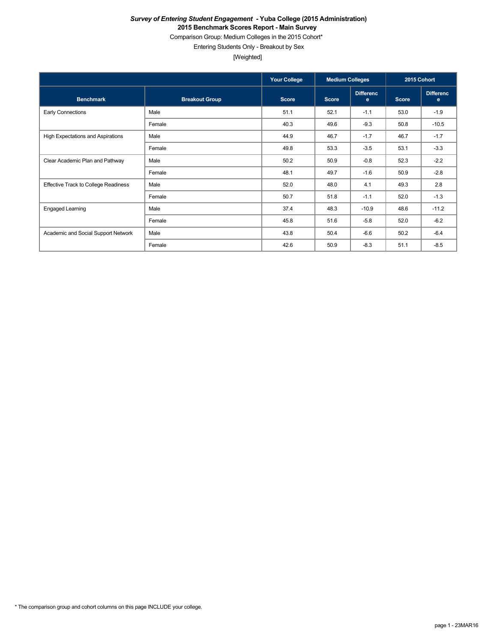Comparison Group: Medium Colleges in the 2015 Cohort\*

Entering Students Only - Breakout by Sex

[Weighted]

|                                      |                       | <b>Your College</b> | <b>Medium Colleges</b> |                       | 2015 Cohort  |                       |
|--------------------------------------|-----------------------|---------------------|------------------------|-----------------------|--------------|-----------------------|
| <b>Benchmark</b>                     | <b>Breakout Group</b> | <b>Score</b>        | <b>Score</b>           | <b>Differenc</b><br>e | <b>Score</b> | <b>Differenc</b><br>e |
| Early Connections                    | Male                  | 51.1                | 52.1                   | $-1.1$                | 53.0         | $-1.9$                |
|                                      | Female                | 40.3                | 49.6                   | $-9.3$                | 50.8         | $-10.5$               |
| High Expectations and Aspirations    | Male                  | 44.9                | 46.7                   | $-1.7$                | 46.7         | $-1.7$                |
|                                      | Female                | 49.8                | 53.3                   | $-3.5$                | 53.1         | $-3.3$                |
| Clear Academic Plan and Pathway      | Male                  | 50.2                | 50.9                   | $-0.8$                | 52.3         | $-2.2$                |
|                                      | Female                | 48.1                | 49.7                   | $-1.6$                | 50.9         | $-2.8$                |
| Effective Track to College Readiness | Male                  | 52.0                | 48.0                   | 4.1                   | 49.3         | 2.8                   |
|                                      | Female                | 50.7                | 51.8                   | $-1.1$                | 52.0         | $-1.3$                |
| <b>Engaged Learning</b>              | Male                  | 37.4                | 48.3                   | $-10.9$               | 48.6         | $-11.2$               |
|                                      | Female                | 45.8                | 51.6                   | $-5.8$                | 52.0         | $-6.2$                |
| Academic and Social Support Network  | Male                  | 43.8                | 50.4                   | $-6.6$                | 50.2         | $-6.4$                |
|                                      | Female                | 42.6                | 50.9                   | $-8.3$                | 51.1         | $-8.5$                |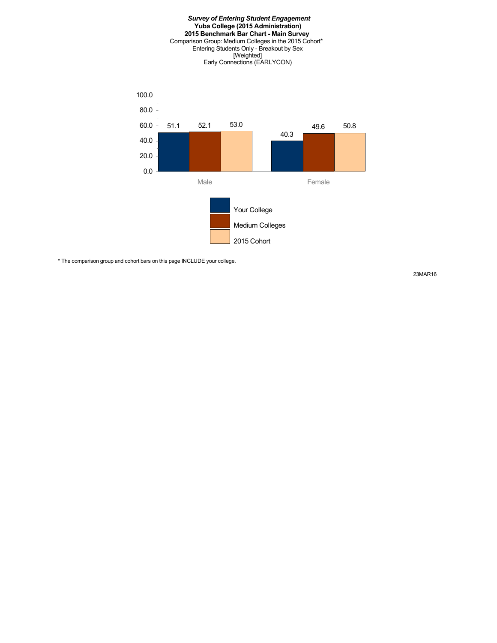#### *Survey of Entering Student Engagement* **Yuba College (2015 Administration) 2015 Benchmark Bar Chart - Main Survey** Comparison Group: Medium Colleges in the 2015 Cohort\* Entering Students Only - Breakout by Sex [Weighted] Early Connections (EARLYCON)



\* The comparison group and cohort bars on this page INCLUDE your college.

23MAR16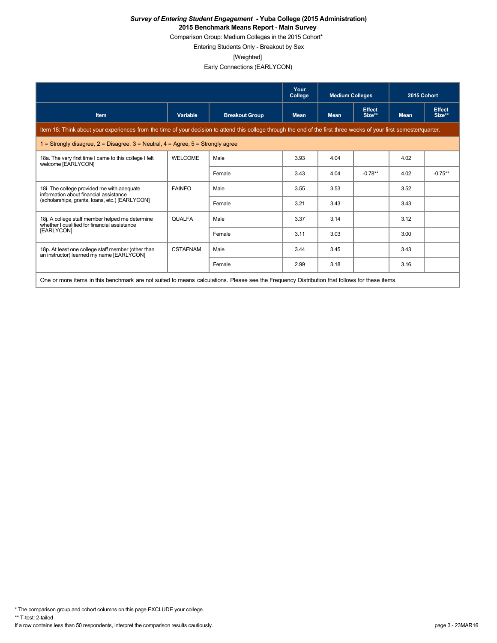Comparison Group: Medium Colleges in the 2015 Cohort\*

Entering Students Only - Breakout by Sex

[Weighted]

Early Connections (EARLYCON)

|                                                                                                                                                                      |                 |                       | Your<br>College | <b>Medium Colleges</b> |                         | 2015 Cohort |                         |  |
|----------------------------------------------------------------------------------------------------------------------------------------------------------------------|-----------------|-----------------------|-----------------|------------------------|-------------------------|-------------|-------------------------|--|
|                                                                                                                                                                      |                 |                       |                 |                        |                         |             |                         |  |
| <b>Item</b>                                                                                                                                                          | Variable        | <b>Breakout Group</b> | <b>Mean</b>     | <b>Mean</b>            | <b>Effect</b><br>Size** | <b>Mean</b> | <b>Effect</b><br>Size** |  |
| Item 18: Think about your experiences from the time of your decision to attend this college through the end of the first three weeks of your first semester/quarter. |                 |                       |                 |                        |                         |             |                         |  |
| 1 = Strongly disagree, $2$ = Disagree, $3$ = Neutral, $4$ = Agree, $5$ = Strongly agree                                                                              |                 |                       |                 |                        |                         |             |                         |  |
| 18a. The very first time I came to this college I felt<br>welcome [EARLYCON]                                                                                         | <b>WELCOME</b>  | Male                  | 3.93            | 4.04                   |                         | 4.02        |                         |  |
|                                                                                                                                                                      |                 | Female                | 3.43            | 4.04                   | $-0.78**$               | 4.02        | $-0.75**$               |  |
| 18i. The college provided me with adequate<br>information about financial assistance                                                                                 | <b>FAINFO</b>   | Male                  | 3.55            | 3.53                   |                         | 3.52        |                         |  |
| (scholarships, grants, loans, etc.) [EARLYCON]                                                                                                                       |                 | Female                | 3.21            | 3.43                   |                         | 3.43        |                         |  |
| 18j. A college staff member helped me determine<br>whether I qualified for financial assistance                                                                      | <b>QUALFA</b>   | Male                  | 3.37            | 3.14                   |                         | 3.12        |                         |  |
| [EARLYCON]                                                                                                                                                           |                 | Female                | 3.11            | 3.03                   |                         | 3.00        |                         |  |
| 18p. At least one college staff member (other than<br>an instructor) learned my name [EARLYCON]                                                                      | <b>CSTAFNAM</b> | Male                  | 3.44            | 3.45                   |                         | 3.43        |                         |  |
|                                                                                                                                                                      |                 | Female                | 2.99            | 3.18                   |                         | 3.16        |                         |  |
| One or more items in this benchmark are not suited to means calculations. Please see the Frequency Distribution that follows for these items.                        |                 |                       |                 |                        |                         |             |                         |  |

\* The comparison group and cohort columns on this page EXCLUDE your college.

\*\* T-test: 2-tailed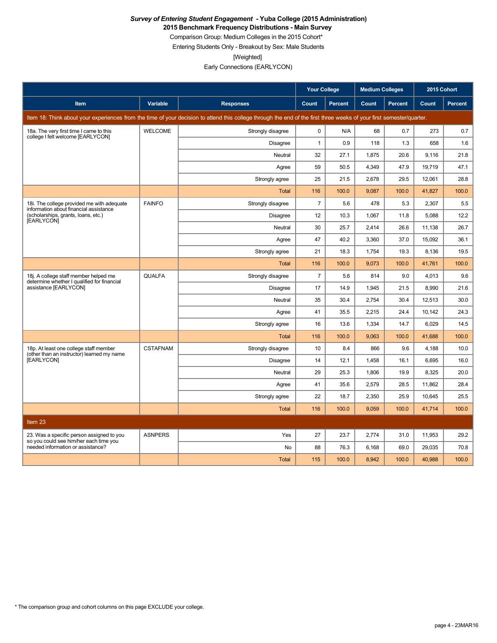**2015 Benchmark Frequency Distributions - Main Survey**

Comparison Group: Medium Colleges in the 2015 Cohort\*

Entering Students Only - Breakout by Sex: Male Students

[Weighted]

Early Connections (EARLYCON)

|                                                                                      |                 |                                                                                                                                                                      | <b>Your College</b> |                | <b>Medium Colleges</b> |         | 2015 Cohort |                |
|--------------------------------------------------------------------------------------|-----------------|----------------------------------------------------------------------------------------------------------------------------------------------------------------------|---------------------|----------------|------------------------|---------|-------------|----------------|
| <b>Item</b>                                                                          | Variable        | <b>Responses</b>                                                                                                                                                     | Count               | <b>Percent</b> | Count                  | Percent | Count       | <b>Percent</b> |
|                                                                                      |                 | Item 18: Think about your experiences from the time of your decision to attend this college through the end of the first three weeks of your first semester/quarter. |                     |                |                        |         |             |                |
| 18a. The very first time I came to this                                              | <b>WELCOME</b>  | Strongly disagree                                                                                                                                                    | $\mathbf 0$         | N/A            | 68                     | 0.7     | 273         | 0.7            |
| college I felt welcome [EARLYCON]                                                    |                 | Disagree                                                                                                                                                             | $\mathbf{1}$        | 0.9            | 118                    | 1.3     | 658         | 1.6            |
|                                                                                      |                 | Neutral                                                                                                                                                              | 32                  | 27.1           | 1.875                  | 20.6    | 9.116       | 21.8           |
|                                                                                      |                 | Agree                                                                                                                                                                | 59                  | 50.5           | 4,349                  | 47.9    | 19,719      | 47.1           |
|                                                                                      |                 | Strongly agree                                                                                                                                                       | 25                  | 21.5           | 2,678                  | 29.5    | 12,061      | 28.8           |
|                                                                                      |                 | <b>Total</b>                                                                                                                                                         | 116                 | 100.0          | 9,087                  | 100.0   | 41,827      | 100.0          |
| 18i. The college provided me with adequate<br>information about financial assistance | <b>FAINFO</b>   | Strongly disagree                                                                                                                                                    | $\overline{7}$      | 5.6            | 478                    | 5.3     | 2.307       | 5.5            |
| (scholarships, grants, loans, etc.)<br>[EARLYCON]                                    |                 | <b>Disagree</b>                                                                                                                                                      | 12                  | 10.3           | 1.067                  | 11.8    | 5.088       | 12.2           |
|                                                                                      |                 | Neutral                                                                                                                                                              | 30                  | 25.7           | 2,414                  | 26.6    | 11,138      | 26.7           |
|                                                                                      |                 | Agree                                                                                                                                                                | 47                  | 40.2           | 3,360                  | 37.0    | 15,092      | 36.1           |
|                                                                                      |                 | Strongly agree                                                                                                                                                       | 21                  | 18.3           | 1,754                  | 19.3    | 8,136       | 19.5           |
|                                                                                      |                 | <b>Total</b>                                                                                                                                                         | 116                 | 100.0          | 9,073                  | 100.0   | 41,761      | 100.0          |
| 18j. A college staff member helped me<br>determine whether I qualified for financial | QUALFA          | Strongly disagree                                                                                                                                                    | $\overline{7}$      | 5.6            | 814                    | 9.0     | 4,013       | 9.6            |
| assistance [EARLYCON]                                                                |                 | <b>Disagree</b>                                                                                                                                                      | 17                  | 14.9           | 1.945                  | 21.5    | 8.990       | 21.6           |
|                                                                                      |                 | Neutral                                                                                                                                                              | 35                  | 30.4           | 2,754                  | 30.4    | 12,513      | 30.0           |
|                                                                                      |                 | Agree                                                                                                                                                                | 41                  | 35.5           | 2,215                  | 24.4    | 10,142      | 24.3           |
|                                                                                      |                 | Strongly agree                                                                                                                                                       | 16                  | 13.6           | 1,334                  | 14.7    | 6.029       | 14.5           |
|                                                                                      |                 | <b>Total</b>                                                                                                                                                         | 116                 | 100.0          | 9,063                  | 100.0   | 41,688      | 100.0          |
| 18p. At least one college staff member<br>(other than an instructor) learned my name | <b>CSTAFNAM</b> | Strongly disagree                                                                                                                                                    | 10                  | 8.4            | 866                    | 9.6     | 4,188       | 10.0           |
| [EARLYCON]                                                                           |                 | <b>Disagree</b>                                                                                                                                                      | 14                  | 12.1           | 1,458                  | 16.1    | 6,695       | 16.0           |
|                                                                                      |                 | Neutral                                                                                                                                                              | 29                  | 25.3           | 1.806                  | 19.9    | 8.325       | 20.0           |
|                                                                                      |                 | Agree                                                                                                                                                                | 41                  | 35.6           | 2,579                  | 28.5    | 11.862      | 28.4           |
|                                                                                      |                 | Strongly agree                                                                                                                                                       | 22                  | 18.7           | 2,350                  | 25.9    | 10,645      | 25.5           |
|                                                                                      |                 | <b>Total</b>                                                                                                                                                         | 116                 | 100.0          | 9,059                  | 100.0   | 41,714      | 100.0          |
| Item $23$                                                                            |                 |                                                                                                                                                                      |                     |                |                        |         |             |                |
| 23. Was a specific person assigned to you                                            | <b>ASNPERS</b>  | Yes                                                                                                                                                                  | 27                  | 23.7           | 2.774                  | 31.0    | 11.953      | 29.2           |
| so you could see him/her each time you<br>needed information or assistance?          |                 | No                                                                                                                                                                   | 88                  | 76.3           | 6,168                  | 69.0    | 29,035      | 70.8           |
|                                                                                      |                 | <b>Total</b>                                                                                                                                                         | 115                 | 100.0          | 8.942                  | 100.0   | 40,988      | 100.0          |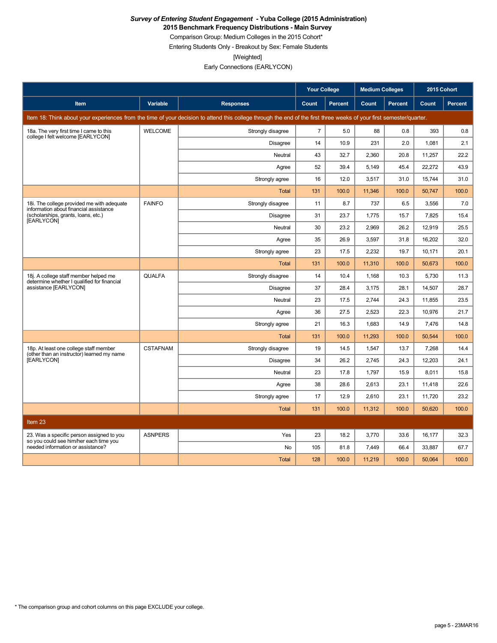**2015 Benchmark Frequency Distributions - Main Survey**

Comparison Group: Medium Colleges in the 2015 Cohort\* Entering Students Only - Breakout by Sex: Female Students

[Weighted]

Early Connections (EARLYCON)

|                                                                                      |                 |                                                                                                                                                                      | <b>Your College</b> |                | <b>Medium Colleges</b> |         | 2015 Cohort |         |
|--------------------------------------------------------------------------------------|-----------------|----------------------------------------------------------------------------------------------------------------------------------------------------------------------|---------------------|----------------|------------------------|---------|-------------|---------|
| Item                                                                                 | Variable        | <b>Responses</b>                                                                                                                                                     | Count               | <b>Percent</b> | Count                  | Percent | Count       | Percent |
|                                                                                      |                 | Item 18: Think about your experiences from the time of your decision to attend this college through the end of the first three weeks of your first semester/quarter. |                     |                |                        |         |             |         |
| 18a. The very first time I came to this<br>college I felt welcome [EARLYCON]         | <b>WELCOME</b>  | Strongly disagree                                                                                                                                                    | $\overline{7}$      | 5.0            | 88                     | 0.8     | 393         | 0.8     |
|                                                                                      |                 | <b>Disagree</b>                                                                                                                                                      | 14                  | 10.9           | 231                    | 2.0     | 1,081       | 2.1     |
|                                                                                      |                 | Neutral                                                                                                                                                              | 43                  | 32.7           | 2,360                  | 20.8    | 11,257      | 22.2    |
|                                                                                      |                 | Agree                                                                                                                                                                | 52                  | 39.4           | 5,149                  | 45.4    | 22,272      | 43.9    |
|                                                                                      |                 | Strongly agree                                                                                                                                                       | 16                  | 12.0           | 3,517                  | 31.0    | 15,744      | 31.0    |
|                                                                                      |                 | Total                                                                                                                                                                | 131                 | 100.0          | 11,346                 | 100.0   | 50.747      | 100.0   |
| 18i. The college provided me with adequate<br>information about financial assistance | <b>FAINFO</b>   | Strongly disagree                                                                                                                                                    | 11                  | 8.7            | 737                    | 6.5     | 3,556       | 7.0     |
| (scholarships, grants, loans, etc.)<br>[EARLYCON]                                    |                 | <b>Disagree</b>                                                                                                                                                      | 31                  | 23.7           | 1,775                  | 15.7    | 7,825       | 15.4    |
|                                                                                      |                 | Neutral                                                                                                                                                              | 30                  | 23.2           | 2,969                  | 26.2    | 12,919      | 25.5    |
|                                                                                      |                 | Agree                                                                                                                                                                | 35                  | 26.9           | 3,597                  | 31.8    | 16,202      | 32.0    |
|                                                                                      |                 | Strongly agree                                                                                                                                                       | 23                  | 17.5           | 2,232                  | 19.7    | 10.171      | 20.1    |
|                                                                                      |                 | Total                                                                                                                                                                | 131                 | 100.0          | 11,310                 | 100.0   | 50,673      | 100.0   |
| 18j. A college staff member helped me<br>determine whether I qualified for financial | <b>QUALFA</b>   | Strongly disagree                                                                                                                                                    | 14                  | 10.4           | 1,168                  | 10.3    | 5,730       | 11.3    |
| assistance [EARLYCON]                                                                |                 | <b>Disagree</b>                                                                                                                                                      | 37                  | 28.4           | 3,175                  | 28.1    | 14,507      | 28.7    |
|                                                                                      |                 | Neutral                                                                                                                                                              | 23                  | 17.5           | 2,744                  | 24.3    | 11,855      | 23.5    |
|                                                                                      |                 | Agree                                                                                                                                                                | 36                  | 27.5           | 2,523                  | 22.3    | 10,976      | 21.7    |
|                                                                                      |                 | Strongly agree                                                                                                                                                       | 21                  | 16.3           | 1.683                  | 14.9    | 7.476       | 14.8    |
|                                                                                      |                 | Total                                                                                                                                                                | 131                 | 100.0          | 11,293                 | 100.0   | 50,544      | 100.0   |
| 18p. At least one college staff member<br>(other than an instructor) learned my name | <b>CSTAFNAM</b> | Strongly disagree                                                                                                                                                    | 19                  | 14.5           | 1,547                  | 13.7    | 7,268       | 14.4    |
| [EARLYCON]                                                                           |                 | Disagree                                                                                                                                                             | 34                  | 26.2           | 2,745                  | 24.3    | 12,203      | 24.1    |
|                                                                                      |                 | Neutral                                                                                                                                                              | 23                  | 17.8           | 1,797                  | 15.9    | 8,011       | 15.8    |
|                                                                                      |                 | Agree                                                                                                                                                                | 38                  | 28.6           | 2,613                  | 23.1    | 11,418      | 22.6    |
|                                                                                      |                 | Strongly agree                                                                                                                                                       | 17                  | 12.9           | 2,610                  | 23.1    | 11,720      | 23.2    |
|                                                                                      |                 | <b>Total</b>                                                                                                                                                         | 131                 | 100.0          | 11,312                 | 100.0   | 50,620      | 100.0   |
| Item 23                                                                              |                 |                                                                                                                                                                      |                     |                |                        |         |             |         |
| 23. Was a specific person assigned to you                                            | <b>ASNPERS</b>  | Yes                                                                                                                                                                  | 23                  | 18.2           | 3.770                  | 33.6    | 16.177      | 32.3    |
| so you could see him/her each time you<br>needed information or assistance?          |                 | No                                                                                                                                                                   | 105                 | 81.8           | 7,449                  | 66.4    | 33,887      | 67.7    |
|                                                                                      |                 | <b>Total</b>                                                                                                                                                         | 128                 | 100.0          | 11,219                 | 100.0   | 50,064      | 100.0   |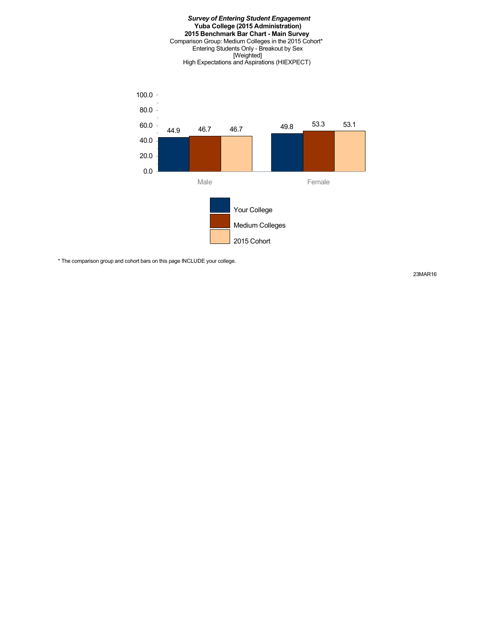#### *Survey of Entering Student Engagement* **Yuba College (2015 Administration) 2015 Benchmark Bar Chart - Main Survey** Comparison Group: Medium Colleges in the 2015 Cohort\* Entering Students Only - Breakout by Sex [Weighted] High Expectations and Aspirations (HIEXPECT)



\* The comparison group and cohort bars on this page INCLUDE your college.

23MAR16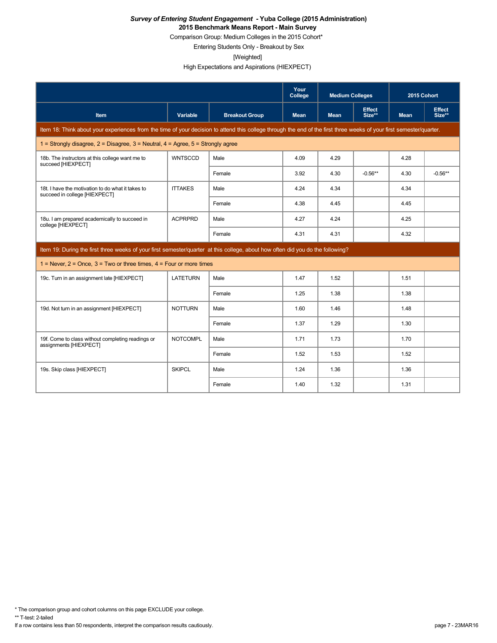Comparison Group: Medium Colleges in the 2015 Cohort\*

Entering Students Only - Breakout by Sex

[Weighted]

High Expectations and Aspirations (HIEXPECT)

|                                                                                                                                                                      |                 |                       | Your<br>College | <b>Medium Colleges</b> |                         | 2015 Cohort |                         |
|----------------------------------------------------------------------------------------------------------------------------------------------------------------------|-----------------|-----------------------|-----------------|------------------------|-------------------------|-------------|-------------------------|
| <b>Item</b>                                                                                                                                                          | Variable        | <b>Breakout Group</b> | <b>Mean</b>     | <b>Mean</b>            | <b>Effect</b><br>Size** | <b>Mean</b> | <b>Effect</b><br>Size** |
| Item 18: Think about your experiences from the time of your decision to attend this college through the end of the first three weeks of your first semester/quarter. |                 |                       |                 |                        |                         |             |                         |
| 1 = Strongly disagree, $2$ = Disagree, $3$ = Neutral, $4$ = Agree, $5$ = Strongly agree                                                                              |                 |                       |                 |                        |                         |             |                         |
| 18b. The instructors at this college want me to<br>succeed [HIEXPECT]                                                                                                | WNTSCCD         | Male                  | 4.09            | 4.29                   |                         | 4.28        |                         |
|                                                                                                                                                                      |                 | Female                | 3.92            | 4.30                   | $-0.56**$               | 4.30        | $-0.56**$               |
| 18t. I have the motivation to do what it takes to<br>succeed in college [HIEXPECT]                                                                                   | <b>ITTAKES</b>  | Male                  | 4.24            | 4.34                   |                         | 4.34        |                         |
|                                                                                                                                                                      |                 | Female                | 4.38            | 4.45                   |                         | 4.45        |                         |
| 18u. I am prepared academically to succeed in<br>college [HIEXPECT]                                                                                                  | <b>ACPRPRD</b>  | Male                  | 4.27            | 4.24                   |                         | 4.25        |                         |
|                                                                                                                                                                      |                 | Female                | 4.31            | 4.31                   |                         | 4.32        |                         |
| Item 19: During the first three weeks of your first semester/quarter at this college, about how often did you do the following?                                      |                 |                       |                 |                        |                         |             |                         |
| $1 =$ Never, $2 =$ Once, $3 =$ Two or three times, $4 =$ Four or more times                                                                                          |                 |                       |                 |                        |                         |             |                         |
| 19c. Turn in an assignment late [HIEXPECT]                                                                                                                           | <b>LATETURN</b> | Male                  | 1.47            | 1.52                   |                         | 1.51        |                         |
|                                                                                                                                                                      |                 | Female                | 1.25            | 1.38                   |                         | 1.38        |                         |
| 19d. Not turn in an assignment [HIEXPECT]                                                                                                                            | <b>NOTTURN</b>  | Male                  | 1.60            | 1.46                   |                         | 1.48        |                         |
|                                                                                                                                                                      |                 | Female                | 1.37            | 1.29                   |                         | 1.30        |                         |
| 19f. Come to class without completing readings or<br>assignments [HIEXPECT]                                                                                          | <b>NOTCOMPL</b> | Male                  | 1.71            | 1.73                   |                         | 1.70        |                         |
|                                                                                                                                                                      |                 | Female                | 1.52            | 1.53                   |                         | 1.52        |                         |
| 19s. Skip class [HIEXPECT]                                                                                                                                           | <b>SKIPCL</b>   | Male                  | 1.24            | 1.36                   |                         | 1.36        |                         |
|                                                                                                                                                                      |                 | Female                | 1.40            | 1.32                   |                         | 1.31        |                         |

\* The comparison group and cohort columns on this page EXCLUDE your college.

\*\* T-test: 2-tailed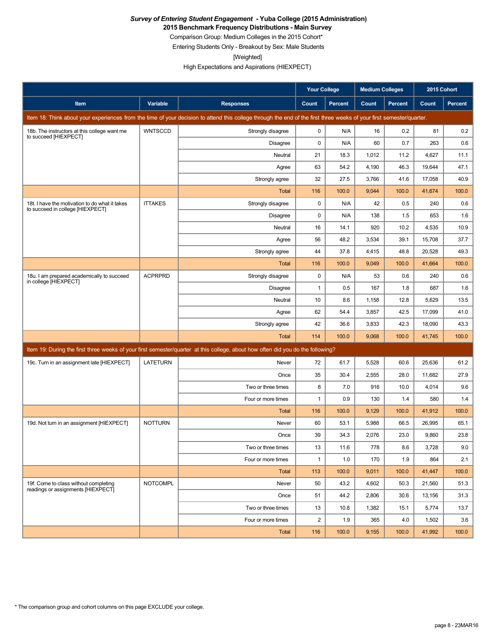**2015 Benchmark Frequency Distributions - Main Survey**

Comparison Group: Medium Colleges in the 2015 Cohort\*

Entering Students Only - Breakout by Sex: Male Students

[Weighted]

High Expectations and Aspirations (HIEXPECT)

|                                                                                    |                 |                                                                                                                                                                      | <b>Your College</b> |                | <b>Medium Colleges</b> |         | 2015 Cohort |                |
|------------------------------------------------------------------------------------|-----------------|----------------------------------------------------------------------------------------------------------------------------------------------------------------------|---------------------|----------------|------------------------|---------|-------------|----------------|
| Item                                                                               | Variable        | <b>Responses</b>                                                                                                                                                     | Count               | <b>Percent</b> | Count                  | Percent | Count       | <b>Percent</b> |
|                                                                                    |                 | Item 18: Think about your experiences from the time of your decision to attend this college through the end of the first three weeks of your first semester/quarter. |                     |                |                        |         |             |                |
| 18b. The instructors at this college want me<br>to succeed [HIEXPECT]              | <b>WNTSCCD</b>  | Strongly disagree                                                                                                                                                    | 0                   | N/A            | 16                     | 0.2     | 81          | 0.2            |
|                                                                                    |                 | <b>Disagree</b>                                                                                                                                                      | 0                   | N/A            | 60                     | 0.7     | 263         | 0.6            |
|                                                                                    |                 | Neutral                                                                                                                                                              | 21                  | 18.3           | 1,012                  | 11.2    | 4,627       | 11.1           |
|                                                                                    |                 | Agree                                                                                                                                                                | 63                  | 54.2           | 4,190                  | 46.3    | 19,644      | 47.1           |
|                                                                                    |                 | Strongly agree                                                                                                                                                       | 32                  | 27.5           | 3,766                  | 41.6    | 17,058      | 40.9           |
|                                                                                    |                 | Total                                                                                                                                                                | 116                 | 100.0          | 9,044                  | 100.0   | 41,674      | 100.0          |
| 18t. I have the motivation to do what it takes<br>to succeed in college [HIEXPECT] | <b>ITTAKES</b>  | Strongly disagree                                                                                                                                                    | 0                   | N/A            | 42                     | 0.5     | 240         | 0.6            |
|                                                                                    |                 | Disagree                                                                                                                                                             | 0                   | N/A            | 138                    | 1.5     | 653         | 1.6            |
|                                                                                    |                 | Neutral                                                                                                                                                              | 16                  | 14.1           | 920                    | 10.2    | 4,535       | 10.9           |
|                                                                                    |                 | Agree                                                                                                                                                                | 56                  | 48.2           | 3,534                  | 39.1    | 15,708      | 37.7           |
|                                                                                    |                 | Strongly agree                                                                                                                                                       | 44                  | 37.8           | 4,415                  | 48.8    | 20,528      | 49.3           |
|                                                                                    |                 | Total                                                                                                                                                                | 116                 | 100.0          | 9,049                  | 100.0   | 41,664      | 100.0          |
| 18u. I am prepared academically to succeed<br>in college [HIEXPECT]                | <b>ACPRPRD</b>  | Strongly disagree                                                                                                                                                    | 0                   | N/A            | 53                     | 0.6     | 240         | 0.6            |
|                                                                                    |                 | Disagree                                                                                                                                                             | 1                   | 0.5            | 167                    | 1.8     | 687         | 1.6            |
|                                                                                    |                 | Neutral                                                                                                                                                              | 10                  | 8.6            | 1,158                  | 12.8    | 5,629       | 13.5           |
|                                                                                    |                 | Agree                                                                                                                                                                | 62                  | 54.4           | 3,857                  | 42.5    | 17,099      | 41.0           |
|                                                                                    |                 | Strongly agree                                                                                                                                                       | 42                  | 36.6           | 3,833                  | 42.3    | 18,090      | 43.3           |
|                                                                                    |                 | <b>Total</b>                                                                                                                                                         | 114                 | 100.0          | 9,068                  | 100.0   | 41,745      | 100.0          |
|                                                                                    |                 | Item 19: During the first three weeks of your first semester/quarter at this college, about how often did you do the following?                                      |                     |                |                        |         |             |                |
| 19c. Turn in an assignment late [HIEXPECT]                                         | <b>LATETURN</b> | Never                                                                                                                                                                | 72                  | 61.7           | 5,528                  | 60.6    | 25,636      | 61.2           |
|                                                                                    |                 | Once                                                                                                                                                                 | 35                  | 30.4           | 2,555                  | 28.0    | 11,682      | 27.9           |
|                                                                                    |                 | Two or three times                                                                                                                                                   | 8                   | 7.0            | 916                    | 10.0    | 4,014       | 9.6            |
|                                                                                    |                 | Four or more times                                                                                                                                                   | $\mathbf{1}$        | 0.9            | 130                    | 1.4     | 580         | 1.4            |
|                                                                                    |                 | Total                                                                                                                                                                | 116                 | 100.0          | 9,129                  | 100.0   | 41,912      | 100.0          |
| 19d. Not turn in an assignment [HIEXPECT]                                          | <b>NOTTURN</b>  | Never                                                                                                                                                                | 60                  | 53.1           | 5,988                  | 66.5    | 26,995      | 65.1           |
|                                                                                    |                 | Once                                                                                                                                                                 | 39                  | 34.3           | 2,076                  | 23.0    | 9,860       | 23.8           |
|                                                                                    |                 | Two or three times                                                                                                                                                   | 13                  | 11.6           | 778                    | 8.6     | 3,728       | 9.0            |
|                                                                                    |                 | Four or more times                                                                                                                                                   | 1                   | 1.0            | 170                    | 1.9     | 864         | 2.1            |
|                                                                                    |                 | <b>Total</b>                                                                                                                                                         | 113                 | 100.0          | 9,011                  | 100.0   | 41,447      | 100.0          |
| 19f. Come to class without completing<br>readings or assignments [HIEXPECT]        | <b>NOTCOMPL</b> | Never                                                                                                                                                                | 50                  | 43.2           | 4,602                  | 50.3    | 21,560      | 51.3           |
|                                                                                    |                 | Once                                                                                                                                                                 | 51                  | 44.2           | 2,806                  | 30.6    | 13,156      | 31.3           |
|                                                                                    |                 | Two or three times                                                                                                                                                   | 13                  | 10.8           | 1,382                  | 15.1    | 5,774       | 13.7           |
|                                                                                    |                 | Four or more times                                                                                                                                                   | $\overline{c}$      | 1.9            | 365                    | 4.0     | 1,502       | 3.6            |
|                                                                                    |                 | Total                                                                                                                                                                | 116                 | 100.0          | 9,155                  | 100.0   | 41,992      | 100.0          |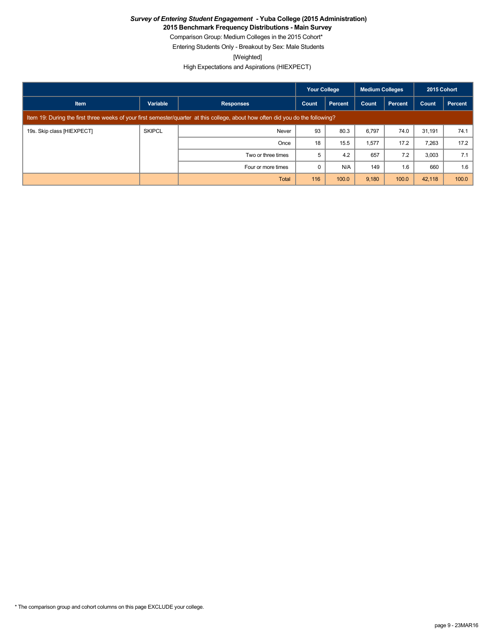**2015 Benchmark Frequency Distributions - Main Survey**

Comparison Group: Medium Colleges in the 2015 Cohort\* Entering Students Only - Breakout by Sex: Male Students

[Weighted]

High Expectations and Aspirations (HIEXPECT)

|                            |               |                                                                                                                                 | <b>Your College</b> |         | Medium Colleges |                | 2015 Cohort |         |
|----------------------------|---------------|---------------------------------------------------------------------------------------------------------------------------------|---------------------|---------|-----------------|----------------|-------------|---------|
| <b>Item</b>                | Variable      | <b>Responses</b>                                                                                                                | Count               | Percent | Count           | <b>Percent</b> | Count       | Percent |
|                            |               | Item 19: During the first three weeks of your first semester/quarter at this college, about how often did you do the following? |                     |         |                 |                |             |         |
| 19s. Skip class [HIEXPECT] | <b>SKIPCL</b> | Never                                                                                                                           | 93                  | 80.3    | 6,797           | 74.0           | 31,191      | 74.1    |
|                            |               | Once                                                                                                                            | 18                  | 15.5    | 1,577           | 17.2           | 7,263       | 17.2    |
|                            |               | Two or three times                                                                                                              | 5                   | 4.2     | 657             | 7.2            | 3,003       | 7.1     |
|                            |               | Four or more times                                                                                                              | 0                   | N/A     | 149             | 1.6            | 660         | 1.6     |
|                            |               | <b>Total</b>                                                                                                                    | 116                 | 100.0   | 9,180           | 100.0          | 42,118      | 100.0   |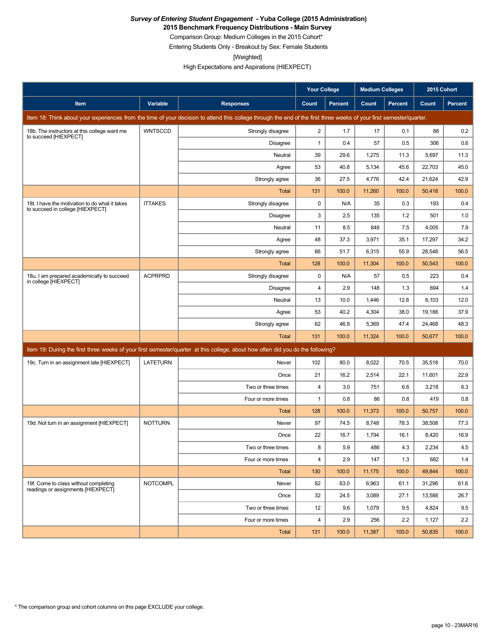**2015 Benchmark Frequency Distributions - Main Survey**

Comparison Group: Medium Colleges in the 2015 Cohort\*

Entering Students Only - Breakout by Sex: Female Students

[Weighted]

High Expectations and Aspirations (HIEXPECT)

|                                                                                    |                 |                                                                                                                                                                      | <b>Your College</b>     |                | <b>Medium Colleges</b> |         | 2015 Cohort |                |
|------------------------------------------------------------------------------------|-----------------|----------------------------------------------------------------------------------------------------------------------------------------------------------------------|-------------------------|----------------|------------------------|---------|-------------|----------------|
| Item                                                                               | Variable        | <b>Responses</b>                                                                                                                                                     | Count                   | <b>Percent</b> | Count                  | Percent | Count       | <b>Percent</b> |
|                                                                                    |                 | Item 18: Think about your experiences from the time of your decision to attend this college through the end of the first three weeks of your first semester/quarter. |                         |                |                        |         |             |                |
| 18b. The instructors at this college want me<br>to succeed [HIEXPECT]              | <b>WNTSCCD</b>  | Strongly disagree                                                                                                                                                    | $\overline{c}$          | 1.7            | 17                     | 0.1     | 88          | 0.2            |
|                                                                                    |                 | <b>Disagree</b>                                                                                                                                                      | $\mathbf{1}$            | 0.4            | 57                     | 0.5     | 306         | 0.6            |
|                                                                                    |                 | Neutral                                                                                                                                                              | 39                      | 29.6           | 1,275                  | 11.3    | 5,697       | 11.3           |
|                                                                                    |                 | Agree                                                                                                                                                                | 53                      | 40.8           | 5,134                  | 45.6    | 22,703      | 45.0           |
|                                                                                    |                 | Strongly agree                                                                                                                                                       | 36                      | 27.5           | 4,776                  | 42.4    | 21,624      | 42.9           |
|                                                                                    |                 | Total                                                                                                                                                                | 131                     | 100.0          | 11,260                 | 100.0   | 50,418      | 100.0          |
| 18t. I have the motivation to do what it takes<br>to succeed in college [HIEXPECT] | <b>ITTAKES</b>  | Strongly disagree                                                                                                                                                    | $\pmb{0}$               | N/A            | 35                     | 0.3     | 193         | 0.4            |
|                                                                                    |                 | Disagree                                                                                                                                                             | 3                       | 2.5            | 135                    | 1.2     | 501         | 1.0            |
|                                                                                    |                 | Neutral                                                                                                                                                              | 11                      | 8.5            | 848                    | 7.5     | 4,005       | 7.9            |
|                                                                                    |                 | Agree                                                                                                                                                                | 48                      | 37.3           | 3,971                  | 35.1    | 17,297      | 34.2           |
|                                                                                    |                 | Strongly agree                                                                                                                                                       | 66                      | 51.7           | 6,315                  | 55.9    | 28,548      | 56.5           |
|                                                                                    |                 | Total                                                                                                                                                                | 128                     | 100.0          | 11,304                 | 100.0   | 50,543      | 100.0          |
| 18u. I am prepared academically to succeed<br>in college [HIEXPECT]                | <b>ACPRPRD</b>  | Strongly disagree                                                                                                                                                    | 0                       | N/A            | 57                     | 0.5     | 223         | 0.4            |
|                                                                                    |                 | <b>Disagree</b>                                                                                                                                                      | $\overline{4}$          | 2.9            | 148                    | 1.3     | 694         | 1.4            |
|                                                                                    |                 | Neutral                                                                                                                                                              | 13                      | 10.0           | 1,446                  | 12.8    | 6,103       | 12.0           |
|                                                                                    |                 | Agree                                                                                                                                                                | 53                      | 40.2           | 4,304                  | 38.0    | 19,188      | 37.9           |
|                                                                                    |                 | Strongly agree                                                                                                                                                       | 62                      | 46.9           | 5,369                  | 47.4    | 24,468      | 48.3           |
|                                                                                    |                 | <b>Total</b>                                                                                                                                                         | 131                     | 100.0          | 11,324                 | 100.0   | 50,677      | 100.0          |
|                                                                                    |                 | Item 19: During the first three weeks of your first semester/quarter at this college, about how often did you do the following?                                      |                         |                |                        |         |             |                |
| 19c. Turn in an assignment late [HIEXPECT]                                         | <b>LATETURN</b> | Never                                                                                                                                                                | 102                     | 80.0           | 8,022                  | 70.5    | 35,518      | 70.0           |
|                                                                                    |                 | Once                                                                                                                                                                 | 21                      | 16.2           | 2,514                  | 22.1    | 11,601      | 22.9           |
|                                                                                    |                 | Two or three times                                                                                                                                                   | $\overline{\mathbf{4}}$ | 3.0            | 751                    | 6.6     | 3,218       | 6.3            |
|                                                                                    |                 | Four or more times                                                                                                                                                   | $\mathbf{1}$            | 0.8            | 86                     | 0.8     | 419         | 0.8            |
|                                                                                    |                 | Total                                                                                                                                                                | 128                     | 100.0          | 11,373                 | 100.0   | 50,757      | 100.0          |
| 19d. Not turn in an assignment [HIEXPECT]                                          | <b>NOTTURN</b>  | Never                                                                                                                                                                | 97                      | 74.5           | 8,748                  | 78.3    | 38,508      | 77.3           |
|                                                                                    |                 | Once                                                                                                                                                                 | 22                      | 16.7           | 1,794                  | 16.1    | 8,420       | 16.9           |
|                                                                                    |                 | Two or three times                                                                                                                                                   | 8                       | 5.9            | 486                    | 4.3     | 2,234       | $4.5\,$        |
|                                                                                    |                 | Four or more times                                                                                                                                                   | $\overline{\mathbf{4}}$ | 2.9            | 147                    | 1.3     | 682         | 1.4            |
|                                                                                    |                 | <b>Total</b>                                                                                                                                                         | 130                     | 100.0          | 11,175                 | 100.0   | 49,844      | 100.0          |
| 19f. Come to class without completing<br>readings or assignments [HIEXPECT]        | <b>NOTCOMPL</b> | Never                                                                                                                                                                | 82                      | 63.0           | 6,963                  | 61.1    | 31,296      | 61.6           |
|                                                                                    |                 | Once                                                                                                                                                                 | 32                      | 24.5           | 3,089                  | 27.1    | 13,588      | 26.7           |
|                                                                                    |                 | Two or three times                                                                                                                                                   | 12                      | 9.6            | 1,079                  | 9.5     | 4,824       | 9.5            |
|                                                                                    |                 | Four or more times                                                                                                                                                   | 4                       | 2.9            | 256                    | 2.2     | 1,127       | 2.2            |
|                                                                                    |                 | Total                                                                                                                                                                | 131                     | 100.0          | 11,387                 | 100.0   | 50,835      | 100.0          |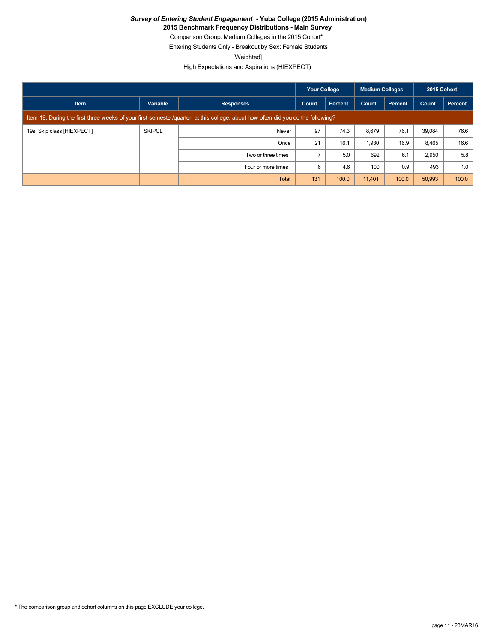**2015 Benchmark Frequency Distributions - Main Survey**

Comparison Group: Medium Colleges in the 2015 Cohort\*

Entering Students Only - Breakout by Sex: Female Students

[Weighted]

High Expectations and Aspirations (HIEXPECT)

|                            |               |                                                                                                                                 | <b>Your College</b> |         | <b>Medium Colleges</b> |         | 2015 Cohort |         |
|----------------------------|---------------|---------------------------------------------------------------------------------------------------------------------------------|---------------------|---------|------------------------|---------|-------------|---------|
| <b>Item</b>                | Variable      | <b>Responses</b>                                                                                                                | Count               | Percent | Count                  | Percent | Count       | Percent |
|                            |               | Item 19: During the first three weeks of your first semester/quarter at this college, about how often did you do the following? |                     |         |                        |         |             |         |
| 19s. Skip class [HIEXPECT] | <b>SKIPCL</b> | Never                                                                                                                           | 97                  | 74.3    | 8,679                  | 76.1    | 39,084      | 76.6    |
|                            |               | Once                                                                                                                            | 21                  | 16.1    | 1,930                  | 16.9    | 8,465       | 16.6    |
|                            |               | Two or three times                                                                                                              |                     | 5.0     | 692                    | 6.1     | 2,950       | 5.8     |
|                            |               | Four or more times                                                                                                              | 6                   | 4.6     | 100                    | 0.9     | 493         | 1.0     |
|                            |               | <b>Total</b>                                                                                                                    | 131                 | 100.0   | 11,401                 | 100.0   | 50,993      | 100.0   |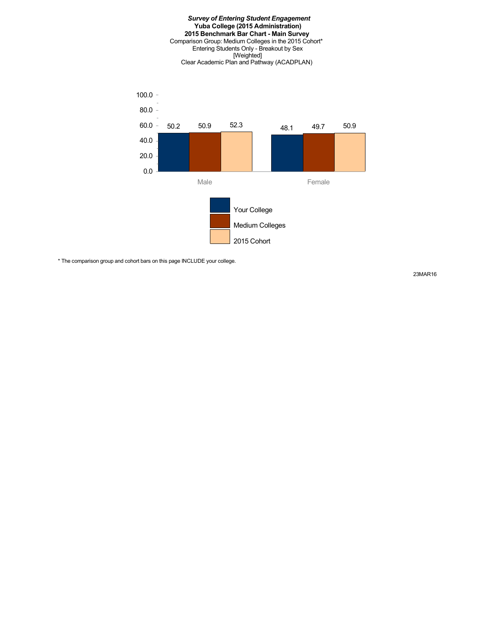#### *Survey of Entering Student Engagement* **Yuba College (2015 Administration) 2015 Benchmark Bar Chart - Main Survey** Comparison Group: Medium Colleges in the 2015 Cohort\* Entering Students Only - Breakout by Sex [Weighted] Clear Academic Plan and Pathway (ACADPLAN)



\* The comparison group and cohort bars on this page INCLUDE your college.

23MAR16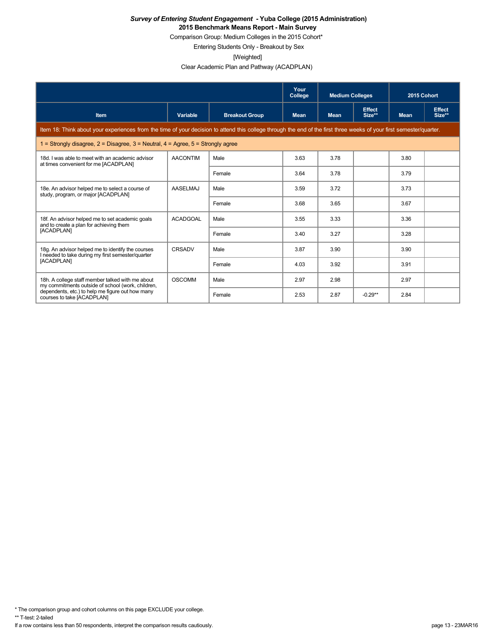Comparison Group: Medium Colleges in the 2015 Cohort\*

Entering Students Only - Breakout by Sex

[Weighted]

Clear Academic Plan and Pathway (ACADPLAN)

|                                                                                                                                                                      |                 |                       | Your<br>College | <b>Medium Colleges</b> |                         | 2015 Cohort |                         |
|----------------------------------------------------------------------------------------------------------------------------------------------------------------------|-----------------|-----------------------|-----------------|------------------------|-------------------------|-------------|-------------------------|
| Item                                                                                                                                                                 | Variable        | <b>Breakout Group</b> | <b>Mean</b>     | <b>Mean</b>            | <b>Effect</b><br>Size** | <b>Mean</b> | <b>Effect</b><br>Size** |
| Item 18: Think about your experiences from the time of your decision to attend this college through the end of the first three weeks of your first semester/quarter. |                 |                       |                 |                        |                         |             |                         |
| 1 = Strongly disagree, $2$ = Disagree, $3$ = Neutral, $4$ = Agree, $5$ = Strongly agree                                                                              |                 |                       |                 |                        |                         |             |                         |
| 18d. I was able to meet with an academic advisor<br>at times convenient for me [ACADPLAN]                                                                            | <b>AACONTIM</b> | Male                  | 3.63            | 3.78                   |                         | 3.80        |                         |
|                                                                                                                                                                      |                 | Female                | 3.64            | 3.78                   |                         | 3.79        |                         |
| 18e. An advisor helped me to select a course of<br>study, program, or major [ACADPLAN]                                                                               | <b>AASELMAJ</b> | Male                  | 3.59            | 3.72                   |                         | 3.73        |                         |
|                                                                                                                                                                      |                 | Female                | 3.68            | 3.65                   |                         | 3.67        |                         |
| 18f. An advisor helped me to set academic goals<br>and to create a plan for achieving them                                                                           | <b>ACADGOAL</b> | Male                  | 3.55            | 3.33                   |                         | 3.36        |                         |
| [ACADPLAN]                                                                                                                                                           |                 | Female                | 3.40            | 3.27                   |                         | 3.28        |                         |
| 18g. An advisor helped me to identify the courses<br>I needed to take during my first semester/quarter                                                               | CRSADV          | Male                  | 3.87            | 3.90                   |                         | 3.90        |                         |
| <b>IACADPLAN1</b>                                                                                                                                                    |                 | Female                | 4.03            | 3.92                   |                         | 3.91        |                         |
| 18h. A college staff member talked with me about<br>my commitments outside of school (work, children,                                                                | <b>OSCOMM</b>   | Male                  | 2.97            | 2.98                   |                         | 2.97        |                         |
| dependents, etc.) to help me figure out how many<br>courses to take [ACADPLAN]                                                                                       |                 | Female                | 2.53            | 2.87                   | $-0.29**$               | 2.84        |                         |

\* The comparison group and cohort columns on this page EXCLUDE your college.

\*\* T-test: 2-tailed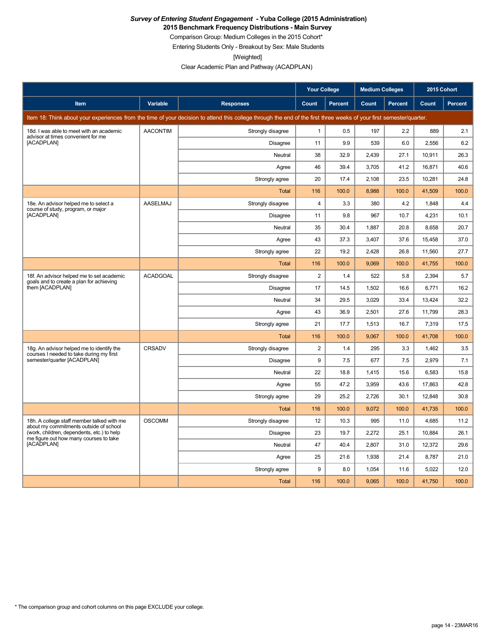**2015 Benchmark Frequency Distributions - Main Survey**

Comparison Group: Medium Colleges in the 2015 Cohort\*

Entering Students Only - Breakout by Sex: Male Students

[Weighted]

Clear Academic Plan and Pathway (ACADPLAN)

|                                                                                       |                 |                                                                                                                                                                      | <b>Your College</b> |                | <b>Medium Colleges</b> |         | 2015 Cohort |                |
|---------------------------------------------------------------------------------------|-----------------|----------------------------------------------------------------------------------------------------------------------------------------------------------------------|---------------------|----------------|------------------------|---------|-------------|----------------|
| Item                                                                                  | Variable        | <b>Responses</b>                                                                                                                                                     | Count               | <b>Percent</b> | Count                  | Percent | Count       | <b>Percent</b> |
|                                                                                       |                 | Item 18: Think about your experiences from the time of your decision to attend this college through the end of the first three weeks of your first semester/quarter. |                     |                |                        |         |             |                |
| 18d. I was able to meet with an academic<br>advisor at times convenient for me        | <b>AACONTIM</b> | Strongly disagree                                                                                                                                                    | $\mathbf{1}$        | 0.5            | 197                    | 2.2     | 889         | 2.1            |
| [ACADPLAN]                                                                            |                 | <b>Disagree</b>                                                                                                                                                      | 11                  | 9.9            | 539                    | 6.0     | 2,556       | 6.2            |
|                                                                                       |                 | Neutral                                                                                                                                                              | 38                  | 32.9           | 2,439                  | 27.1    | 10,911      | 26.3           |
|                                                                                       |                 | Agree                                                                                                                                                                | 46                  | 39.4           | 3,705                  | 41.2    | 16,871      | 40.6           |
|                                                                                       |                 | Strongly agree                                                                                                                                                       | 20                  | 17.4           | 2,108                  | 23.5    | 10,281      | 24.8           |
|                                                                                       |                 | <b>Total</b>                                                                                                                                                         | 116                 | 100.0          | 8,988                  | 100.0   | 41,509      | 100.0          |
| 18e. An advisor helped me to select a<br>course of study, program, or major           | AASELMAJ        | Strongly disagree                                                                                                                                                    | $\overline{4}$      | 3.3            | 380                    | 4.2     | 1,848       | 4.4            |
| [ACADPLAN]                                                                            |                 | Disagree                                                                                                                                                             | 11                  | 9.8            | 967                    | 10.7    | 4,231       | 10.1           |
|                                                                                       |                 | Neutral                                                                                                                                                              | 35                  | 30.4           | 1,887                  | 20.8    | 8,658       | 20.7           |
|                                                                                       |                 | Agree                                                                                                                                                                | 43                  | 37.3           | 3,407                  | 37.6    | 15,458      | 37.0           |
|                                                                                       |                 | Strongly agree                                                                                                                                                       | 22                  | 19.2           | 2.428                  | 26.8    | 11,560      | 27.7           |
|                                                                                       |                 | Total                                                                                                                                                                | 116                 | 100.0          | 9,069                  | 100.0   | 41,755      | 100.0          |
| 18f. An advisor helped me to set academic<br>goals and to create a plan for achieving | <b>ACADGOAL</b> | Strongly disagree                                                                                                                                                    | $\overline{2}$      | 1.4            | 522                    | 5.8     | 2,394       | 5.7            |
| them [ACADPLAN]                                                                       |                 | <b>Disagree</b>                                                                                                                                                      | 17                  | 14.5           | 1,502                  | 16.6    | 6,771       | 16.2           |
|                                                                                       |                 | Neutral                                                                                                                                                              | 34                  | 29.5           | 3,029                  | 33.4    | 13,424      | 32.2           |
|                                                                                       |                 | Agree                                                                                                                                                                | 43                  | 36.9           | 2,501                  | 27.6    | 11,799      | 28.3           |
|                                                                                       |                 | Strongly agree                                                                                                                                                       | 21                  | 17.7           | 1,513                  | 16.7    | 7,319       | 17.5           |
|                                                                                       |                 | Total                                                                                                                                                                | 116                 | 100.0          | 9,067                  | 100.0   | 41,708      | 100.0          |
| 18g. An advisor helped me to identify the<br>courses I needed to take during my first | CRSADV          | Strongly disagree                                                                                                                                                    | $\overline{2}$      | 1.4            | 295                    | 3.3     | 1,462       | 3.5            |
| semester/quarter [ACADPLAN]                                                           |                 | <b>Disagree</b>                                                                                                                                                      | $9$                 | 7.5            | 677                    | 7.5     | 2,979       | 7.1            |
|                                                                                       |                 | Neutral                                                                                                                                                              | 22                  | 18.8           | 1,415                  | 15.6    | 6,583       | 15.8           |
|                                                                                       |                 | Agree                                                                                                                                                                | 55                  | 47.2           | 3,959                  | 43.6    | 17,863      | 42.8           |
|                                                                                       |                 | Strongly agree                                                                                                                                                       | 29                  | 25.2           | 2,726                  | 30.1    | 12,848      | 30.8           |
|                                                                                       |                 | <b>Total</b>                                                                                                                                                         | 116                 | 100.0          | 9,072                  | 100.0   | 41,735      | 100.0          |
| 18h. A college staff member talked with me<br>about my commitments outside of school  | <b>OSCOMM</b>   | Strongly disagree                                                                                                                                                    | 12                  | 10.3           | 995                    | 11.0    | 4,685       | 11.2           |
| (work, children, dependents, etc.) to help<br>me figure out how many courses to take  |                 | Disagree                                                                                                                                                             | 23                  | 19.7           | 2,272                  | 25.1    | 10,884      | 26.1           |
| [ACADPLAN]                                                                            |                 | Neutral                                                                                                                                                              | 47                  | 40.4           | 2,807                  | 31.0    | 12,372      | 29.6           |
|                                                                                       |                 | Agree                                                                                                                                                                | 25                  | 21.6           | 1,938                  | 21.4    | 8,787       | 21.0           |
|                                                                                       |                 | Strongly agree                                                                                                                                                       | $9$                 | 8.0            | 1,054                  | 11.6    | 5,022       | 12.0           |
|                                                                                       |                 | <b>Total</b>                                                                                                                                                         | 116                 | 100.0          | 9,065                  | 100.0   | 41,750      | 100.0          |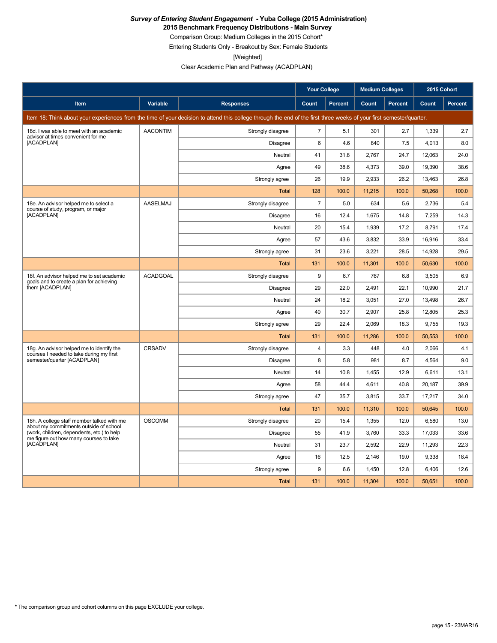**2015 Benchmark Frequency Distributions - Main Survey**

Comparison Group: Medium Colleges in the 2015 Cohort\*

Entering Students Only - Breakout by Sex: Female Students

[Weighted]

Clear Academic Plan and Pathway (ACADPLAN)

|                                                                                       |                 |                                                                                                                                                                      | <b>Your College</b>     |                | <b>Medium Colleges</b> |                | 2015 Cohort |                |
|---------------------------------------------------------------------------------------|-----------------|----------------------------------------------------------------------------------------------------------------------------------------------------------------------|-------------------------|----------------|------------------------|----------------|-------------|----------------|
| <b>Item</b>                                                                           | Variable        | <b>Responses</b>                                                                                                                                                     | Count                   | <b>Percent</b> | Count                  | <b>Percent</b> | Count       | <b>Percent</b> |
|                                                                                       |                 | Item 18: Think about your experiences from the time of your decision to attend this college through the end of the first three weeks of your first semester/quarter. |                         |                |                        |                |             |                |
| 18d. I was able to meet with an academic<br>advisor at times convenient for me        | <b>AACONTIM</b> | Strongly disagree                                                                                                                                                    | $\overline{7}$          | 5.1            | 301                    | 2.7            | 1,339       | 2.7            |
| [ACADPLAN]                                                                            |                 | Disagree                                                                                                                                                             | 6                       | 4.6            | 840                    | 7.5            | 4.013       | 8.0            |
|                                                                                       |                 | Neutral                                                                                                                                                              | 41                      | 31.8           | 2.767                  | 24.7           | 12.063      | 24.0           |
|                                                                                       |                 | Agree                                                                                                                                                                | 49                      | 38.6           | 4,373                  | 39.0           | 19,390      | 38.6           |
|                                                                                       |                 | Strongly agree                                                                                                                                                       | 26                      | 19.9           | 2,933                  | 26.2           | 13,463      | 26.8           |
|                                                                                       |                 | Total                                                                                                                                                                | 128                     | 100.0          | 11,215                 | 100.0          | 50,268      | 100.0          |
| 18e. An advisor helped me to select a<br>course of study, program, or major           | AASELMAJ        | Strongly disagree                                                                                                                                                    | $\overline{7}$          | 5.0            | 634                    | 5.6            | 2,736       | 5.4            |
| [ACADPLAN]                                                                            |                 | Disagree                                                                                                                                                             | 16                      | 12.4           | 1,675                  | 14.8           | 7,259       | 14.3           |
|                                                                                       |                 | Neutral                                                                                                                                                              | 20                      | 15.4           | 1,939                  | 17.2           | 8,791       | 17.4           |
|                                                                                       |                 | Agree                                                                                                                                                                | 57                      | 43.6           | 3,832                  | 33.9           | 16,916      | 33.4           |
|                                                                                       |                 | Strongly agree                                                                                                                                                       | 31                      | 23.6           | 3,221                  | 28.5           | 14,928      | 29.5           |
|                                                                                       |                 | <b>Total</b>                                                                                                                                                         | 131                     | 100.0          | 11,301                 | 100.0          | 50,630      | 100.0          |
| 18f. An advisor helped me to set academic<br>goals and to create a plan for achieving | <b>ACADGOAL</b> | Strongly disagree                                                                                                                                                    | 9                       | 6.7            | 767                    | 6.8            | 3,505       | 6.9            |
| them [ACADPLAN]                                                                       |                 | Disagree                                                                                                                                                             | 29                      | 22.0           | 2,491                  | 22.1           | 10,990      | 21.7           |
|                                                                                       |                 | Neutral                                                                                                                                                              | 24                      | 18.2           | 3,051                  | 27.0           | 13,498      | 26.7           |
|                                                                                       |                 | Agree                                                                                                                                                                | 40                      | 30.7           | 2,907                  | 25.8           | 12,805      | 25.3           |
|                                                                                       |                 | Strongly agree                                                                                                                                                       | 29                      | 22.4           | 2,069                  | 18.3           | 9,755       | 19.3           |
|                                                                                       |                 | Total                                                                                                                                                                | 131                     | 100.0          | 11,286                 | 100.0          | 50,553      | 100.0          |
| 18g. An advisor helped me to identify the<br>courses I needed to take during my first | CRSADV          | Strongly disagree                                                                                                                                                    | $\overline{\mathbf{4}}$ | 3.3            | 448                    | 4.0            | 2,066       | 4.1            |
| semester/quarter [ACADPLAN]                                                           |                 | Disagree                                                                                                                                                             | 8                       | 5.8            | 981                    | 8.7            | 4,564       | 9.0            |
|                                                                                       |                 | Neutral                                                                                                                                                              | 14                      | 10.8           | 1,455                  | 12.9           | 6,611       | 13.1           |
|                                                                                       |                 | Agree                                                                                                                                                                | 58                      | 44.4           | 4,611                  | 40.8           | 20,187      | 39.9           |
|                                                                                       |                 | Strongly agree                                                                                                                                                       | 47                      | 35.7           | 3,815                  | 33.7           | 17,217      | 34.0           |
|                                                                                       |                 | Total                                                                                                                                                                | 131                     | 100.0          | 11,310                 | 100.0          | 50,645      | 100.0          |
| 18h. A college staff member talked with me<br>about my commitments outside of school  | <b>OSCOMM</b>   | Strongly disagree                                                                                                                                                    | 20                      | 15.4           | 1,355                  | 12.0           | 6,580       | 13.0           |
| (work, children, dependents, etc.) to help<br>me figure out how many courses to take  |                 | Disagree                                                                                                                                                             | 55                      | 41.9           | 3,760                  | 33.3           | 17,033      | 33.6           |
| [ACADPLAN]                                                                            |                 | Neutral                                                                                                                                                              | 31                      | 23.7           | 2,592                  | 22.9           | 11,293      | 22.3           |
|                                                                                       |                 | Agree                                                                                                                                                                | 16                      | 12.5           | 2,146                  | 19.0           | 9,338       | 18.4           |
|                                                                                       |                 | Strongly agree                                                                                                                                                       | 9                       | 6.6            | 1,450                  | 12.8           | 6,406       | 12.6           |
|                                                                                       |                 | Total                                                                                                                                                                | 131                     | 100.0          | 11,304                 | 100.0          | 50,651      | 100.0          |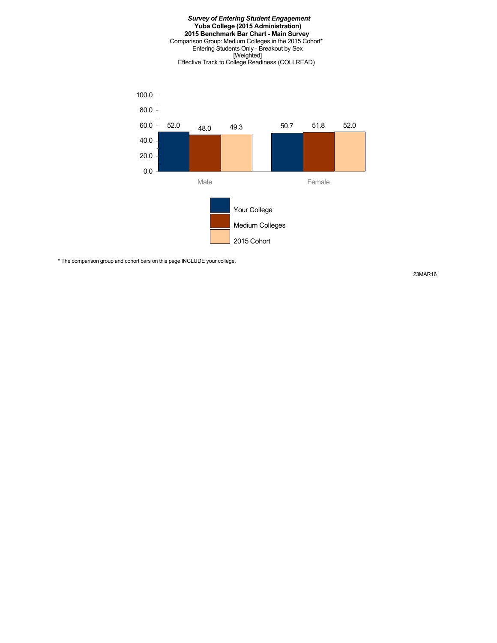#### *Survey of Entering Student Engagement* **Yuba College (2015 Administration) 2015 Benchmark Bar Chart - Main Survey** Comparison Group: Medium Colleges in the 2015 Cohort\* Entering Students Only - Breakout by Sex [Weighted] Effective Track to College Readiness (COLLREAD)



\* The comparison group and cohort bars on this page INCLUDE your college.

23MAR16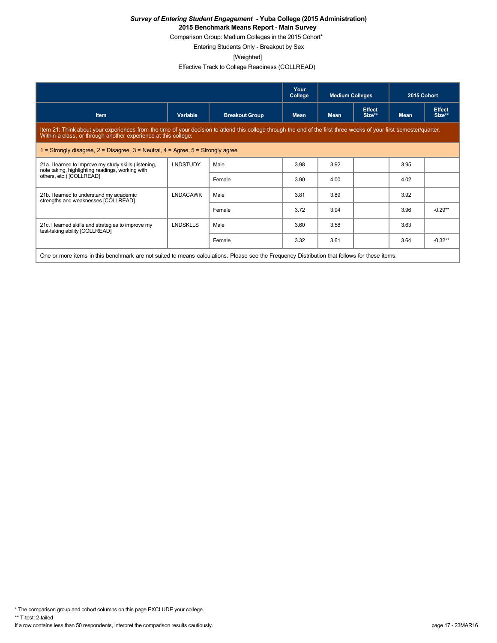Comparison Group: Medium Colleges in the 2015 Cohort\*

Entering Students Only - Breakout by Sex

[Weighted]

Effective Track to College Readiness (COLLREAD)

|                                                                                                                                               |                                                                                                                                                                                                                                        |                       | Your<br>College | <b>Medium Colleges</b> |                         | 2015 Cohort |                         |  |  |  |
|-----------------------------------------------------------------------------------------------------------------------------------------------|----------------------------------------------------------------------------------------------------------------------------------------------------------------------------------------------------------------------------------------|-----------------------|-----------------|------------------------|-------------------------|-------------|-------------------------|--|--|--|
| <b>Item</b>                                                                                                                                   | Variable                                                                                                                                                                                                                               | <b>Breakout Group</b> | <b>Mean</b>     | <b>Mean</b>            | <b>Effect</b><br>Size** | <b>Mean</b> | <b>Effect</b><br>Size** |  |  |  |
|                                                                                                                                               | Item 21: Think about your experiences from the time of your decision to attend this college through the end of the first three weeks of your first semester/quarter.<br>Within a class, or through another experience at this college: |                       |                 |                        |                         |             |                         |  |  |  |
| 1 = Strongly disagree, $2$ = Disagree, $3$ = Neutral, $4$ = Agree, $5$ = Strongly agree                                                       |                                                                                                                                                                                                                                        |                       |                 |                        |                         |             |                         |  |  |  |
| 21a. I learned to improve my study skills (listening,<br>note taking, highlighting readings, working with                                     | <b>LNDSTUDY</b>                                                                                                                                                                                                                        | Male                  | 3.98            | 3.92                   |                         | 3.95        |                         |  |  |  |
| others, etc.) [COLLREAD]                                                                                                                      | 3.90<br>4.00<br>Female                                                                                                                                                                                                                 |                       | 4.02            |                        |                         |             |                         |  |  |  |
| 21b. I learned to understand my academic<br>strengths and weaknesses [COLLREAD]                                                               | <b>LNDACAWK</b>                                                                                                                                                                                                                        | Male                  | 3.81            | 3.89                   |                         | 3.92        |                         |  |  |  |
|                                                                                                                                               |                                                                                                                                                                                                                                        | Female                | 3.72            | 3.94                   |                         | 3.96        | $-0.29**$               |  |  |  |
| 21c. I learned skills and strategies to improve my<br>test-taking ability [COLLREAD]                                                          | <b>LNDSKLLS</b>                                                                                                                                                                                                                        | Male                  | 3.60            | 3.58                   |                         | 3.63        |                         |  |  |  |
|                                                                                                                                               |                                                                                                                                                                                                                                        | Female                | 3.32            | 3.61                   |                         | 3.64        | $-0.32**$               |  |  |  |
| One or more items in this benchmark are not suited to means calculations. Please see the Frequency Distribution that follows for these items. |                                                                                                                                                                                                                                        |                       |                 |                        |                         |             |                         |  |  |  |

\* The comparison group and cohort columns on this page EXCLUDE your college.

\*\* T-test: 2-tailed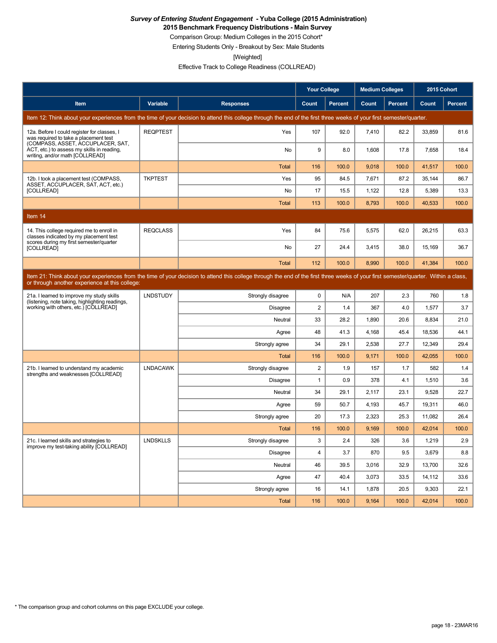**2015 Benchmark Frequency Distributions - Main Survey**

Comparison Group: Medium Colleges in the 2015 Cohort\*

Entering Students Only - Breakout by Sex: Male Students

[Weighted]

Effective Track to College Readiness (COLLREAD)

|                                                                                                                           |                 |                                                                                                                                                                                      | <b>Your College</b> |                | <b>Medium Colleges</b> |                | 2015 Cohort |         |
|---------------------------------------------------------------------------------------------------------------------------|-----------------|--------------------------------------------------------------------------------------------------------------------------------------------------------------------------------------|---------------------|----------------|------------------------|----------------|-------------|---------|
| Item                                                                                                                      | Variable        | <b>Responses</b>                                                                                                                                                                     | Count               | <b>Percent</b> | Count                  | <b>Percent</b> | Count       | Percent |
|                                                                                                                           |                 | Item 12: Think about your experiences from the time of your decision to attend this college through the end of the first three weeks of your first semester/quarter.                 |                     |                |                        |                |             |         |
| 12a. Before I could register for classes, I<br>was required to take a placement test<br>(COMPASS, ASSET, ACCUPLACER, SAT, | <b>REQPTEST</b> | Yes                                                                                                                                                                                  | 107                 | 92.0           | 7,410                  | 82.2           | 33,859      | 81.6    |
| ACT, etc.) to assess my skills in reading,<br>writing, and/or math [COLLREAD]                                             |                 | No                                                                                                                                                                                   | 9                   | 8.0            | 1,608                  | 17.8           | 7,658       | 18.4    |
|                                                                                                                           |                 | <b>Total</b>                                                                                                                                                                         | 116                 | 100.0          | 9.018                  | 100.0          | 41,517      | 100.0   |
| 12b. I took a placement test (COMPASS,<br>ASSET, ACCUPLACER, SAT, ACT, etc.)                                              | <b>TKPTEST</b>  | Yes                                                                                                                                                                                  | 95                  | 84.5           | 7,671                  | 87.2           | 35,144      | 86.7    |
| [COLLREAD]                                                                                                                |                 | No                                                                                                                                                                                   | 17                  | 15.5           | 1,122                  | 12.8           | 5,389       | 13.3    |
|                                                                                                                           |                 | <b>Total</b>                                                                                                                                                                         | 113                 | 100.0          | 8,793                  | 100.0          | 40,533      | 100.0   |
| Item 14                                                                                                                   |                 |                                                                                                                                                                                      |                     |                |                        |                |             |         |
| 14. This college required me to enroll in<br>classes indicated by my placement test                                       | <b>REQCLASS</b> | Yes                                                                                                                                                                                  | 84                  | 75.6           | 5,575                  | 62.0           | 26,215      | 63.3    |
| scores during my first semester/quarter<br>[COLLREAD]                                                                     |                 | No                                                                                                                                                                                   | 27                  | 24.4           | 3,415                  | 38.0           | 15,169      | 36.7    |
|                                                                                                                           |                 | <b>Total</b>                                                                                                                                                                         | 112                 | 100.0          | 8.990                  | 100.0          | 41.384      | 100.0   |
| or through another experience at this college:                                                                            |                 | Item 21: Think about your experiences from the time of your decision to attend this college through the end of the first three weeks of your first semester/quarter. Within a class, |                     |                |                        |                |             |         |
| 21a. I learned to improve my study skills<br>(listening, note taking, highlighting readings,                              | <b>LNDSTUDY</b> | Strongly disagree                                                                                                                                                                    | $\mathbf 0$         | N/A            | 207                    | 2.3            | 760         | 1.8     |
| working with others, etc.) [COLLREAD]                                                                                     |                 | Disagree                                                                                                                                                                             | $\overline{2}$      | 1.4            | 367                    | 4.0            | 1,577       | 3.7     |
|                                                                                                                           |                 | Neutral                                                                                                                                                                              | 33                  | 28.2           | 1,890                  | 20.6           | 8.834       | 21.0    |
|                                                                                                                           |                 | Agree                                                                                                                                                                                | 48                  | 41.3           | 4,168                  | 45.4           | 18,536      | 44.1    |
|                                                                                                                           |                 | Strongly agree                                                                                                                                                                       | 34                  | 29.1           | 2,538                  | 27.7           | 12,349      | 29.4    |
|                                                                                                                           |                 | <b>Total</b>                                                                                                                                                                         | 116                 | 100.0          | 9,171                  | 100.0          | 42,055      | 100.0   |
| 21b. I learned to understand my academic<br>strengths and weaknesses [COLLREAD]                                           | <b>LNDACAWK</b> | Strongly disagree                                                                                                                                                                    | 2                   | 1.9            | 157                    | 1.7            | 582         | 1.4     |
|                                                                                                                           |                 | <b>Disagree</b>                                                                                                                                                                      | $\mathbf{1}$        | 0.9            | 378                    | 4.1            | 1,510       | 3.6     |
|                                                                                                                           |                 | Neutral                                                                                                                                                                              | 34                  | 29.1           | 2,117                  | 23.1           | 9,528       | 22.7    |
|                                                                                                                           |                 | Agree                                                                                                                                                                                | 59                  | 50.7           | 4,193                  | 45.7           | 19,311      | 46.0    |
|                                                                                                                           |                 | Strongly agree                                                                                                                                                                       | 20                  | 17.3           | 2,323                  | 25.3           | 11,082      | 26.4    |
|                                                                                                                           |                 | <b>Total</b>                                                                                                                                                                         | 116                 | 100.0          | 9,169                  | 100.0          | 42,014      | 100.0   |
| 21c. I learned skills and strategies to<br>improve my test-taking ability [COLLREAD]                                      | <b>LNDSKLLS</b> | Strongly disagree                                                                                                                                                                    | 3                   | 2.4            | 326                    | 3.6            | 1,219       | 2.9     |
|                                                                                                                           |                 | Disagree                                                                                                                                                                             | $\overline{4}$      | 3.7            | 870                    | 9.5            | 3.679       | 8.8     |
|                                                                                                                           |                 | Neutral                                                                                                                                                                              | 46                  | 39.5           | 3,016                  | 32.9           | 13,700      | 32.6    |
|                                                                                                                           |                 | Agree                                                                                                                                                                                | 47                  | 40.4           | 3.073                  | 33.5           | 14,112      | 33.6    |
|                                                                                                                           |                 | Strongly agree                                                                                                                                                                       | 16                  | 14.1           | 1,878                  | 20.5           | 9,303       | 22.1    |
|                                                                                                                           |                 | <b>Total</b>                                                                                                                                                                         | 116                 | 100.0          | 9.164                  | 100.0          | 42.014      | 100.0   |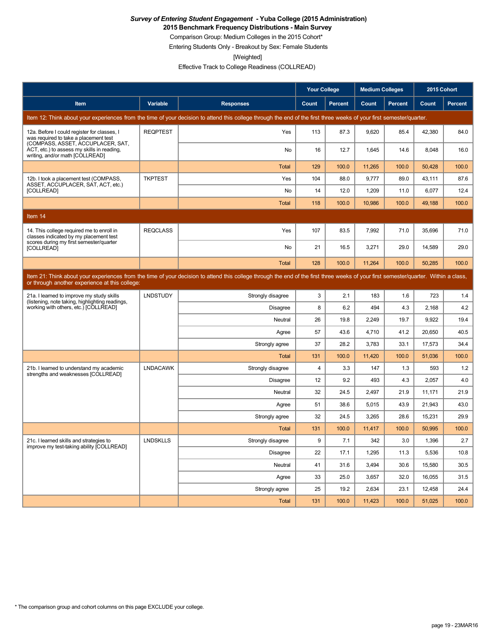**2015 Benchmark Frequency Distributions - Main Survey**

Comparison Group: Medium Colleges in the 2015 Cohort\*

Entering Students Only - Breakout by Sex: Female Students

[Weighted]

Effective Track to College Readiness (COLLREAD)

|                                                                                                                           |                 |                                                                                                                                                                                      | <b>Your College</b> |                | <b>Medium Colleges</b> |         | 2015 Cohort |                |
|---------------------------------------------------------------------------------------------------------------------------|-----------------|--------------------------------------------------------------------------------------------------------------------------------------------------------------------------------------|---------------------|----------------|------------------------|---------|-------------|----------------|
| Item                                                                                                                      | <b>Variable</b> | <b>Responses</b>                                                                                                                                                                     | Count               | <b>Percent</b> | Count                  | Percent | Count       | <b>Percent</b> |
|                                                                                                                           |                 | Item 12: Think about your experiences from the time of your decision to attend this college through the end of the first three weeks of your first semester/quarter.                 |                     |                |                        |         |             |                |
| 12a. Before I could register for classes, I<br>was required to take a placement test<br>(COMPASS, ASSET, ACCUPLACER, SAT, | <b>REQPTEST</b> | Yes                                                                                                                                                                                  | 113                 | 87.3           | 9,620                  | 85.4    | 42,380      | 84.0           |
| ACT, etc.) to assess my skills in reading,<br>writing, and/or math [COLLREAD]                                             |                 | No                                                                                                                                                                                   | 16                  | 12.7           | 1,645                  | 14.6    | 8,048       | 16.0           |
|                                                                                                                           |                 | <b>Total</b>                                                                                                                                                                         | 129                 | 100.0          | 11,265                 | 100.0   | 50,428      | 100.0          |
| 12b. I took a placement test (COMPASS,<br>ASSET, ACCUPLACER, SAT, ACT, etc.)                                              | <b>TKPTEST</b>  | Yes                                                                                                                                                                                  | 104                 | 88.0           | 9.777                  | 89.0    | 43.111      | 87.6           |
| [COLLREAD]                                                                                                                |                 | No                                                                                                                                                                                   | 14                  | 12.0           | 1,209                  | 11.0    | 6,077       | 12.4           |
|                                                                                                                           |                 | <b>Total</b>                                                                                                                                                                         | 118                 | 100.0          | 10,986                 | 100.0   | 49,188      | 100.0          |
| Item 14                                                                                                                   |                 |                                                                                                                                                                                      |                     |                |                        |         |             |                |
| 14. This college required me to enroll in<br>classes indicated by my placement test                                       | <b>REQCLASS</b> | Yes                                                                                                                                                                                  | 107                 | 83.5           | 7.992                  | 71.0    | 35.696      | 71.0           |
| scores during my first semester/quarter<br>[COLLREAD]                                                                     |                 | <b>No</b>                                                                                                                                                                            | 21                  | 16.5           | 3,271                  | 29.0    | 14,589      | 29.0           |
|                                                                                                                           |                 | Total                                                                                                                                                                                | 128                 | 100.0          | 11.264                 | 100.0   | 50.285      | 100.0          |
| or through another experience at this college:                                                                            |                 | Item 21: Think about your experiences from the time of your decision to attend this college through the end of the first three weeks of your first semester/quarter. Within a class, |                     |                |                        |         |             |                |
| 21a. I learned to improve my study skills                                                                                 | <b>LNDSTUDY</b> | Strongly disagree                                                                                                                                                                    | 3                   | 2.1            | 183                    | 1.6     | 723         | 1.4            |
| (listening, note taking, highlighting readings,<br>working with others, etc.) [COLLREAD]                                  |                 | <b>Disagree</b>                                                                                                                                                                      | 8                   | 6.2            | 494                    | 4.3     | 2.168       | 4.2            |
|                                                                                                                           |                 | Neutral                                                                                                                                                                              | 26                  | 19.8           | 2,249                  | 19.7    | 9,922       | 19.4           |
|                                                                                                                           |                 | Agree                                                                                                                                                                                | 57                  | 43.6           | 4,710                  | 41.2    | 20,650      | 40.5           |
|                                                                                                                           |                 | Strongly agree                                                                                                                                                                       | 37                  | 28.2           | 3,783                  | 33.1    | 17,573      | 34.4           |
|                                                                                                                           |                 | <b>Total</b>                                                                                                                                                                         | 131                 | 100.0          | 11,420                 | 100.0   | 51,036      | 100.0          |
| 21b. I learned to understand my academic<br>strengths and weaknesses [COLLREAD]                                           | <b>LNDACAWK</b> | Strongly disagree                                                                                                                                                                    | $\overline{4}$      | 3.3            | 147                    | 1.3     | 593         | 1.2            |
|                                                                                                                           |                 | <b>Disagree</b>                                                                                                                                                                      | 12                  | 9.2            | 493                    | 4.3     | 2.057       | 4.0            |
|                                                                                                                           |                 | Neutral                                                                                                                                                                              | 32                  | 24.5           | 2,497                  | 21.9    | 11,171      | 21.9           |
|                                                                                                                           |                 | Agree                                                                                                                                                                                | 51                  | 38.6           | 5.015                  | 43.9    | 21,943      | 43.0           |
|                                                                                                                           |                 | Strongly agree                                                                                                                                                                       | 32                  | 24.5           | 3,265                  | 28.6    | 15,231      | 29.9           |
|                                                                                                                           |                 | Total                                                                                                                                                                                | 131                 | 100.0          | 11,417                 | 100.0   | 50,995      | 100.0          |
| 21c. I learned skills and strategies to<br>improve my test-taking ability [COLLREAD]                                      | <b>LNDSKLLS</b> | Strongly disagree                                                                                                                                                                    | 9                   | 7.1            | 342                    | 3.0     | 1,396       | 2.7            |
|                                                                                                                           |                 | Disagree                                                                                                                                                                             | 22                  | 17.1           | 1,295                  | 11.3    | 5,536       | 10.8           |
|                                                                                                                           |                 | Neutral                                                                                                                                                                              | 41                  | 31.6           | 3,494                  | 30.6    | 15,580      | 30.5           |
|                                                                                                                           |                 | Agree                                                                                                                                                                                | 33                  | 25.0           | 3.657                  | 32.0    | 16,055      | 31.5           |
|                                                                                                                           |                 | Strongly agree                                                                                                                                                                       | 25                  | 19.2           | 2,634                  | 23.1    | 12,458      | 24.4           |
|                                                                                                                           |                 | <b>Total</b>                                                                                                                                                                         | 131                 | 100.0          | 11.423                 | 100.0   | 51,025      | 100.0          |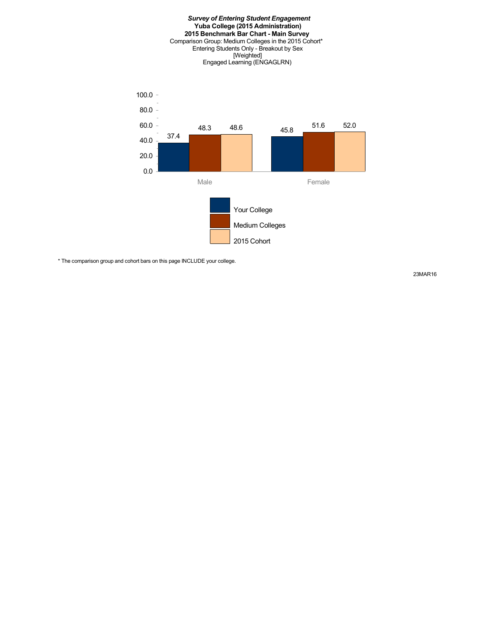

\* The comparison group and cohort bars on this page INCLUDE your college.

23MAR16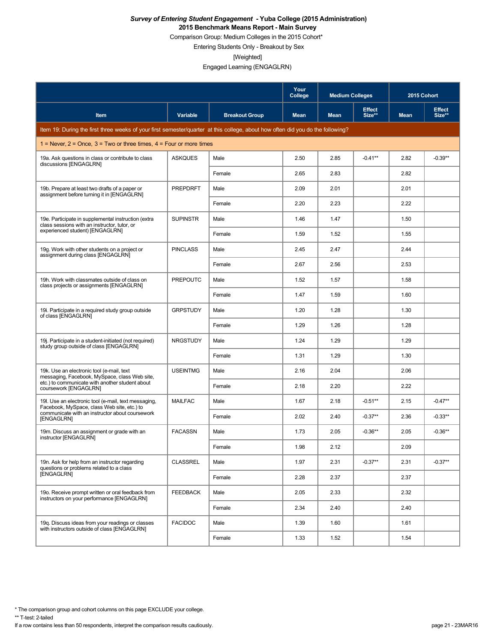Comparison Group: Medium Colleges in the 2015 Cohort\*

Entering Students Only - Breakout by Sex

[Weighted]

Engaged Learning (ENGAGLRN)

|                                                                                                                                 |                 |                       | Your<br>College | <b>Medium Colleges</b> |                         | 2015 Cohort |                         |
|---------------------------------------------------------------------------------------------------------------------------------|-----------------|-----------------------|-----------------|------------------------|-------------------------|-------------|-------------------------|
| Item                                                                                                                            | Variable        | <b>Breakout Group</b> | <b>Mean</b>     | <b>Mean</b>            | <b>Effect</b><br>Size** | <b>Mean</b> | <b>Effect</b><br>Size** |
| Item 19: During the first three weeks of your first semester/quarter at this college, about how often did you do the following? |                 |                       |                 |                        |                         |             |                         |
| 1 = Never, $2$ = Once, $3$ = Two or three times, $4$ = Four or more times                                                       |                 |                       |                 |                        |                         |             |                         |
| 19a. Ask questions in class or contribute to class<br>discussions [ENGAGLRN]                                                    | <b>ASKQUES</b>  | Male                  | 2.50            | 2.85                   | $-0.41**$               | 2.82        | $-0.39**$               |
|                                                                                                                                 |                 | Female                | 2.65            | 2.83                   |                         | 2.82        |                         |
| 19b. Prepare at least two drafts of a paper or<br>assignment before turning it in [ENGAGLRN]                                    | <b>PREPDRFT</b> | Male                  | 2.09            | 2.01                   |                         | 2.01        |                         |
|                                                                                                                                 |                 | Female                | 2.20            | 2.23                   |                         | 2.22        |                         |
| 19e. Participate in supplemental instruction (extra<br>class sessions with an instructor, tutor, or                             | <b>SUPINSTR</b> | Male                  | 1.46            | 1.47                   |                         | 1.50        |                         |
| experienced student) [ENGAGLRN]                                                                                                 |                 | Female                | 1.59            | 1.52                   |                         | 1.55        |                         |
| 19g. Work with other students on a project or<br>assignment during class [ENGAGLRN]                                             | <b>PINCLASS</b> | Male                  | 2.45            | 2.47                   |                         | 2.44        |                         |
|                                                                                                                                 |                 | Female                | 2.67            | 2.56                   |                         | 2.53        |                         |
| 19h. Work with classmates outside of class on<br>class projects or assignments [ENGAGLRN]                                       | <b>PREPOUTC</b> | Male                  | 1.52            | 1.57                   |                         | 1.58        |                         |
|                                                                                                                                 |                 | Female                | 1.47            | 1.59                   |                         | 1.60        |                         |
| 19. Participate in a required study group outside<br>of class [ENGAGLRN]                                                        | <b>GRPSTUDY</b> | Male                  | 1.20            | 1.28                   |                         | 1.30        |                         |
|                                                                                                                                 |                 | Female                | 1.29            | 1.26                   |                         | 1.28        |                         |
| 19. Participate in a student-initiated (not required)<br>study group outside of class [ENGAGLRN]                                | <b>NRGSTUDY</b> | Male                  | 1.24            | 1.29                   |                         | 1.29        |                         |
|                                                                                                                                 |                 | Female                | 1.31            | 1.29                   |                         | 1.30        |                         |
| 19k. Use an electronic tool (e-mail, text<br>messaging, Facebook, MySpace, class Web site,                                      | <b>USEINTMG</b> | Male                  | 2.16            | 2.04                   |                         | 2.06        |                         |
| etc.) to communicate with another student about<br>coursework [ENGAGLRN]                                                        |                 | Female                | 2.18            | 2.20                   |                         | 2.22        |                         |
| 19. Use an electronic tool (e-mail, text messaging,<br>Facebook, MySpace, class Web site, etc.) to                              | <b>MAILFAC</b>  | Male                  | 1.67            | 2.18                   | $-0.51**$               | 2.15        | $-0.47**$               |
| communicate with an instructor about coursework<br>[ENGAGLRN]                                                                   |                 | Female                | 2.02            | 2.40                   | $-0.37**$               | 2.36        | $-0.33**$               |
| 19m. Discuss an assignment or grade with an<br>instructor [ENGAGLRN]                                                            | <b>FACASSN</b>  | Male                  | 1.73            | 2.05                   | $-0.36**$               | 2.05        | $-0.36**$               |
|                                                                                                                                 |                 | Female                | 1.98            | 2.12                   |                         | 2.09        |                         |
| 19n. Ask for help from an instructor regarding<br>questions or problems related to a class                                      | <b>CLASSREL</b> | Male                  | 1.97            | 2.31                   | $-0.37**$               | 2.31        | $-0.37**$               |
| [ENGAGLRN]                                                                                                                      |                 | Female                | 2.28            | 2.37                   |                         | 2.37        |                         |
| 19o. Receive prompt written or oral feedback from<br>instructors on your performance [ENGAGLRN]                                 | <b>FEEDBACK</b> | Male                  | 2.05            | 2.33                   |                         | 2.32        |                         |
|                                                                                                                                 |                 | Female                | 2.34            | 2.40                   |                         | 2.40        |                         |
| 19g. Discuss ideas from your readings or classes<br>with instructors outside of class [ENGAGLRN]                                | <b>FACIDOC</b>  | Male                  | 1.39            | 1.60                   |                         | 1.61        |                         |
|                                                                                                                                 |                 | Female                | 1.33            | 1.52                   |                         | 1.54        |                         |

\* The comparison group and cohort columns on this page EXCLUDE your college.

\*\* T-test: 2-tailed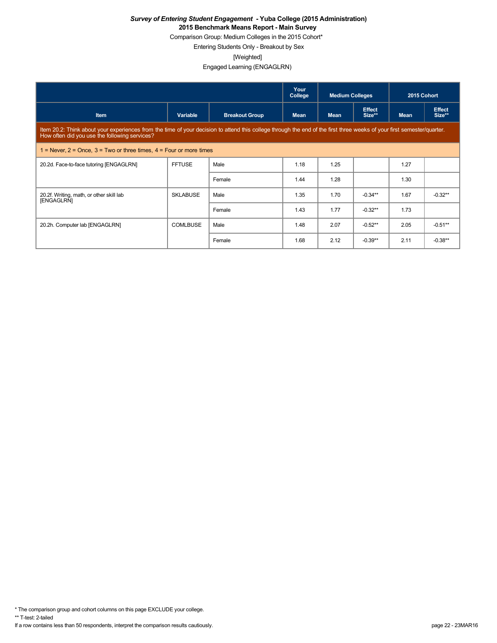Comparison Group: Medium Colleges in the 2015 Cohort\*

Entering Students Only - Breakout by Sex

[Weighted]

Engaged Learning (ENGAGLRN)

|                                                                           |                                                                                                                                                                        |                       | Your<br>College | <b>Medium Colleges</b> |                         | 2015 Cohort |                         |  |  |  |
|---------------------------------------------------------------------------|------------------------------------------------------------------------------------------------------------------------------------------------------------------------|-----------------------|-----------------|------------------------|-------------------------|-------------|-------------------------|--|--|--|
| <b>Item</b>                                                               | Variable                                                                                                                                                               | <b>Breakout Group</b> | <b>Mean</b>     | <b>Mean</b>            | <b>Effect</b><br>Size** | <b>Mean</b> | <b>Effect</b><br>Size** |  |  |  |
| How often did you use the following services?                             | Item 20.2: Think about your experiences from the time of your decision to attend this college through the end of the first three weeks of your first semester/quarter. |                       |                 |                        |                         |             |                         |  |  |  |
| 1 = Never, $2$ = Once, $3$ = Two or three times, $4$ = Four or more times |                                                                                                                                                                        |                       |                 |                        |                         |             |                         |  |  |  |
| 20.2d. Face-to-face tutoring [ENGAGLRN]                                   | <b>FFTUSE</b>                                                                                                                                                          | Male                  | 1.18            | 1.25                   |                         | 1.27        |                         |  |  |  |
|                                                                           |                                                                                                                                                                        | Female                | 1.44            | 1.28                   |                         | 1.30        |                         |  |  |  |
| 20.2f. Writing, math, or other skill lab<br>[ENGAGLRN]                    | <b>SKLABUSE</b>                                                                                                                                                        | Male                  | 1.35            | 1.70                   | $-0.34**$               | 1.67        | $-0.32**$               |  |  |  |
|                                                                           |                                                                                                                                                                        | Female                | 1.43            | 1.77                   | $-0.32**$               | 1.73        |                         |  |  |  |
| 20.2h. Computer lab [ENGAGLRN]                                            | <b>COMLBUSE</b>                                                                                                                                                        | Male                  | 1.48            | 2.07                   | $-0.52**$               | 2.05        | $-0.51**$               |  |  |  |
|                                                                           |                                                                                                                                                                        | Female                | 1.68            | 2.12                   | $-0.39**$               | 2.11        | $-0.38**$               |  |  |  |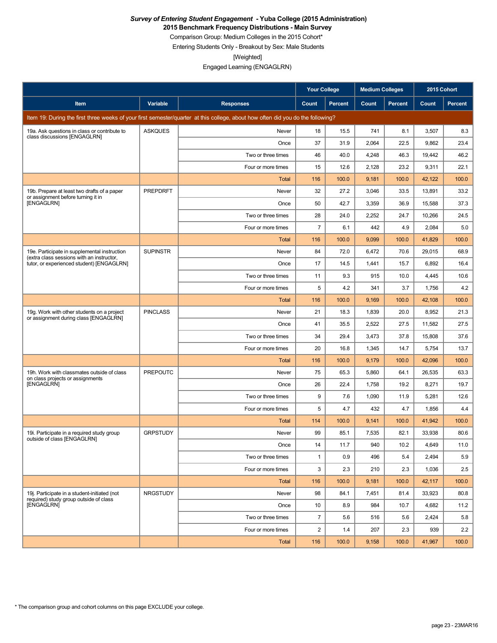**2015 Benchmark Frequency Distributions - Main Survey**

Comparison Group: Medium Colleges in the 2015 Cohort\*

Entering Students Only - Breakout by Sex: Male Students

[Weighted]

Engaged Learning (ENGAGLRN)

|                                                                                           |                 |                                                                                                                                 | <b>Your College</b> |                | <b>Medium Colleges</b> |                | 2015 Cohort |                |
|-------------------------------------------------------------------------------------------|-----------------|---------------------------------------------------------------------------------------------------------------------------------|---------------------|----------------|------------------------|----------------|-------------|----------------|
| Item                                                                                      | Variable        | <b>Responses</b>                                                                                                                | Count               | <b>Percent</b> | Count                  | <b>Percent</b> | Count       | <b>Percent</b> |
|                                                                                           |                 | Item 19: During the first three weeks of your first semester/quarter at this college, about how often did you do the following? |                     |                |                        |                |             |                |
| 19a. Ask questions in class or contribute to<br>class discussions [ENGAGLRN]              | <b>ASKQUES</b>  | Never                                                                                                                           | 18                  | 15.5           | 741                    | 8.1            | 3,507       | 8.3            |
|                                                                                           |                 | Once                                                                                                                            | 37                  | 31.9           | 2,064                  | 22.5           | 9,862       | 23.4           |
|                                                                                           |                 | Two or three times                                                                                                              | 46                  | 40.0           | 4,248                  | 46.3           | 19,442      | 46.2           |
|                                                                                           |                 | Four or more times                                                                                                              | 15                  | 12.6           | 2,128                  | 23.2           | 9,311       | 22.1           |
|                                                                                           |                 | Total                                                                                                                           | 116                 | 100.0          | 9,181                  | 100.0          | 42,122      | 100.0          |
| 19b. Prepare at least two drafts of a paper<br>or assignment before turning it in         | <b>PREPDRFT</b> | Never                                                                                                                           | 32                  | 27.2           | 3,046                  | 33.5           | 13,891      | 33.2           |
| [ENGAGLRN]                                                                                |                 | Once                                                                                                                            | 50                  | 42.7           | 3,359                  | 36.9           | 15,588      | 37.3           |
|                                                                                           |                 | Two or three times                                                                                                              | 28                  | 24.0           | 2,252                  | 24.7           | 10,266      | 24.5           |
|                                                                                           |                 | Four or more times                                                                                                              | $\overline{7}$      | 6.1            | 442                    | 4.9            | 2,084       | 5.0            |
|                                                                                           |                 | Total                                                                                                                           | 116                 | 100.0          | 9,099                  | 100.0          | 41,829      | 100.0          |
| 19e. Participate in supplemental instruction<br>(extra class sessions with an instructor, | <b>SUPINSTR</b> | Never                                                                                                                           | 84                  | 72.0           | 6,472                  | 70.6           | 29,015      | 68.9           |
| tutor, or experienced student) [ENGAGLRN]                                                 |                 | Once                                                                                                                            | 17                  | 14.5           | 1,441                  | 15.7           | 6,892       | 16.4           |
|                                                                                           |                 | Two or three times                                                                                                              | 11                  | 9.3            | 915                    | 10.0           | 4,445       | 10.6           |
|                                                                                           |                 | Four or more times                                                                                                              | 5                   | 4.2            | 341                    | 3.7            | 1,756       | 4.2            |
|                                                                                           |                 | <b>Total</b>                                                                                                                    | 116                 | 100.0          | 9,169                  | 100.0          | 42,108      | 100.0          |
| 19g. Work with other students on a project<br>or assignment during class [ENGAGLRN]       | <b>PINCLASS</b> | Never                                                                                                                           | 21                  | 18.3           | 1,839                  | 20.0           | 8,952       | 21.3           |
|                                                                                           |                 | Once                                                                                                                            | 41                  | 35.5           | 2,522                  | 27.5           | 11,582      | 27.5           |
|                                                                                           |                 | Two or three times                                                                                                              | 34                  | 29.4           | 3,473                  | 37.8           | 15,808      | 37.6           |
|                                                                                           |                 | Four or more times                                                                                                              | 20                  | 16.8           | 1,345                  | 14.7           | 5,754       | 13.7           |
|                                                                                           |                 | Total                                                                                                                           | 116                 | 100.0          | 9,179                  | 100.0          | 42,096      | 100.0          |
| 19h. Work with classmates outside of class<br>on class projects or assignments            | <b>PREPOUTC</b> | Never                                                                                                                           | 75                  | 65.3           | 5,860                  | 64.1           | 26,535      | 63.3           |
| [ENGAGLRN]                                                                                |                 | Once                                                                                                                            | 26                  | 22.4           | 1,758                  | 19.2           | 8,271       | 19.7           |
|                                                                                           |                 | Two or three times                                                                                                              | 9                   | 7.6            | 1,090                  | 11.9           | 5,281       | 12.6           |
|                                                                                           |                 | Four or more times                                                                                                              | 5                   | 4.7            | 432                    | 4.7            | 1,856       | 4.4            |
|                                                                                           |                 | Total                                                                                                                           | 114                 | 100.0          | 9,141                  | 100.0          | 41,942      | 100.0          |
| 19i. Participate in a required study group<br>outside of class [ENGAGLRN]                 | <b>GRPSTUDY</b> | Never                                                                                                                           | 99                  | 85.1           | 7,535                  | 82.1           | 33,938      | 80.6           |
|                                                                                           |                 | Once                                                                                                                            | 14                  | 11.7           | 940                    | 10.2           | 4,649       | 11.0           |
|                                                                                           |                 | Two or three times                                                                                                              | $\mathbf{1}$        | 0.9            | 496                    | 5.4            | 2,494       | 5.9            |
|                                                                                           |                 | Four or more times                                                                                                              | 3                   | 2.3            | 210                    | 2.3            | 1,036       | 2.5            |
|                                                                                           |                 | Total                                                                                                                           | 116                 | 100.0          | 9,181                  | 100.0          | 42,117      | 100.0          |
| 19j. Participate in a student-initiated (not<br>required) study group outside of class    | NRGSTUDY        | Never                                                                                                                           | 98                  | 84.1           | 7,451                  | 81.4           | 33,923      | 80.8           |
| [ENGAGLRN]                                                                                |                 | Once                                                                                                                            | 10                  | 8.9            | 984                    | 10.7           | 4,682       | 11.2           |
|                                                                                           |                 | Two or three times                                                                                                              | $\overline{7}$      | 5.6            | 516                    | 5.6            | 2,424       | 5.8            |
|                                                                                           |                 | Four or more times                                                                                                              | $\overline{2}$      | 1.4            | 207                    | 2.3            | 939         | 2.2            |
|                                                                                           |                 | Total                                                                                                                           | 116                 | 100.0          | 9,158                  | 100.0          | 41,967      | 100.0          |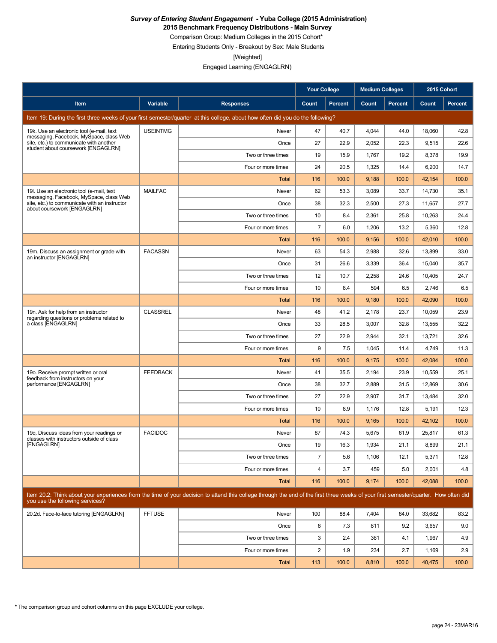**2015 Benchmark Frequency Distributions - Main Survey**

Comparison Group: Medium Colleges in the 2015 Cohort\*

Entering Students Only - Breakout by Sex: Male Students

[Weighted]

|                                                                                                                           |                 |                                                                                                                                                                                      | <b>Your College</b>     |                | <b>Medium Colleges</b> |         | 2015 Cohort |                |
|---------------------------------------------------------------------------------------------------------------------------|-----------------|--------------------------------------------------------------------------------------------------------------------------------------------------------------------------------------|-------------------------|----------------|------------------------|---------|-------------|----------------|
| Item                                                                                                                      | <b>Variable</b> | <b>Responses</b>                                                                                                                                                                     | Count                   | <b>Percent</b> | Count                  | Percent | Count       | <b>Percent</b> |
|                                                                                                                           |                 | Item 19: During the first three weeks of your first semester/quarter at this college, about how often did you do the following?                                                      |                         |                |                        |         |             |                |
| 19k. Use an electronic tool (e-mail, text                                                                                 | <b>USEINTMG</b> | Never                                                                                                                                                                                | 47                      | 40.7           | 4,044                  | 44.0    | 18,060      | 42.8           |
| messaging, Facebook, MySpace, class Web<br>site, etc.) to communicate with another<br>student about coursework [ENGAGLRN] |                 | Once                                                                                                                                                                                 | 27                      | 22.9           | 2,052                  | 22.3    | 9,515       | 22.6           |
|                                                                                                                           |                 | Two or three times                                                                                                                                                                   | 19                      | 15.9           | 1,767                  | 19.2    | 8,378       | 19.9           |
|                                                                                                                           |                 | Four or more times                                                                                                                                                                   | 24                      | 20.5           | 1,325                  | 14.4    | 6,200       | 14.7           |
|                                                                                                                           |                 | Total                                                                                                                                                                                | 116                     | 100.0          | 9,188                  | 100.0   | 42,154      | 100.0          |
| 19I. Use an electronic tool (e-mail, text<br>messaging, Facebook, MySpace, class Web                                      | <b>MAILFAC</b>  | Never                                                                                                                                                                                | 62                      | 53.3           | 3,089                  | 33.7    | 14,730      | 35.1           |
| site, etc.) to communicate with an instructor<br>about coursework [ENGAGLRN]                                              |                 | Once                                                                                                                                                                                 | 38                      | 32.3           | 2,500                  | 27.3    | 11,657      | 27.7           |
|                                                                                                                           |                 | Two or three times                                                                                                                                                                   | 10                      | 8.4            | 2,361                  | 25.8    | 10,263      | 24.4           |
|                                                                                                                           |                 | Four or more times                                                                                                                                                                   | $\overline{7}$          | 6.0            | 1,206                  | 13.2    | 5,360       | 12.8           |
|                                                                                                                           |                 | Total                                                                                                                                                                                | 116                     | 100.0          | 9,156                  | 100.0   | 42,010      | 100.0          |
| 19m. Discuss an assignment or grade with<br>an instructor [ENGAGLRN]                                                      | <b>FACASSN</b>  | Never                                                                                                                                                                                | 63                      | 54.3           | 2,988                  | 32.6    | 13,899      | 33.0           |
|                                                                                                                           |                 | Once                                                                                                                                                                                 | 31                      | 26.6           | 3,339                  | 36.4    | 15,040      | 35.7           |
|                                                                                                                           |                 | Two or three times                                                                                                                                                                   | 12                      | 10.7           | 2,258                  | 24.6    | 10,405      | 24.7           |
|                                                                                                                           |                 | Four or more times                                                                                                                                                                   | 10                      | 8.4            | 594                    | 6.5     | 2,746       | 6.5            |
|                                                                                                                           |                 | Total                                                                                                                                                                                | 116                     | 100.0          | 9,180                  | 100.0   | 42,090      | 100.0          |
| 19n. Ask for help from an instructor<br>regarding questions or problems related to                                        | <b>CLASSREL</b> | Never                                                                                                                                                                                | 48                      | 41.2           | 2,178                  | 23.7    | 10,059      | 23.9           |
| a class [ENGAGLRN]                                                                                                        |                 | Once                                                                                                                                                                                 | 33                      | 28.5           | 3,007                  | 32.8    | 13,555      | 32.2           |
|                                                                                                                           |                 | Two or three times                                                                                                                                                                   | 27                      | 22.9           | 2,944                  | 32.1    | 13,721      | 32.6           |
|                                                                                                                           |                 | Four or more times                                                                                                                                                                   | 9                       | 7.5            | 1,045                  | 11.4    | 4,749       | 11.3           |
|                                                                                                                           |                 | Total                                                                                                                                                                                | 116                     | 100.0          | 9,175                  | 100.0   | 42,084      | 100.0          |
| 19o. Receive prompt written or oral<br>feedback from instructors on your                                                  | <b>FEEDBACK</b> | Never                                                                                                                                                                                | 41                      | 35.5           | 2,194                  | 23.9    | 10,559      | 25.1           |
| performance [ENGAGLRN]                                                                                                    |                 | Once                                                                                                                                                                                 | 38                      | 32.7           | 2,889                  | 31.5    | 12,869      | 30.6           |
|                                                                                                                           |                 | Two or three times                                                                                                                                                                   | 27                      | 22.9           | 2,907                  | 31.7    | 13,484      | 32.0           |
|                                                                                                                           |                 | Four or more times                                                                                                                                                                   | 10                      | 8.9            | 1,176                  | 12.8    | 5,191       | 12.3           |
|                                                                                                                           |                 | Total                                                                                                                                                                                | 116                     | 100.0          | 9,165                  | 100.0   | 42,102      | 100.0          |
| 19g. Discuss ideas from your readings or<br>classes with instructors outside of class                                     | <b>FACIDOC</b>  | Never                                                                                                                                                                                | 87                      | 74.3           | 5,675                  | 61.9    | 25,817      | 61.3           |
| [ENGAGLRN]                                                                                                                |                 | Once                                                                                                                                                                                 | 19                      | 16.3           | 1,934                  | 21.1    | 8.899       | 21.1           |
|                                                                                                                           |                 | Two or three times                                                                                                                                                                   | $\overline{7}$          | 5.6            | 1,106                  | 12.1    | 5,371       | 12.8           |
|                                                                                                                           |                 | Four or more times                                                                                                                                                                   | $\overline{\mathbf{4}}$ | 3.7            | 459                    | 5.0     | 2,001       | 4.8            |
|                                                                                                                           |                 | <b>Total</b>                                                                                                                                                                         | 116                     | 100.0          | 9,174                  | 100.0   | 42,088      | 100.0          |
| you use the following services?                                                                                           |                 | Item 20.2: Think about your experiences from the time of your decision to attend this college through the end of the first three weeks of your first semester/quarter. How often did |                         |                |                        |         |             |                |
| 20.2d. Face-to-face tutoring [ENGAGLRN]                                                                                   | <b>FFTUSE</b>   | Never                                                                                                                                                                                | 100                     | 88.4           | 7,404                  | 84.0    | 33,682      | 83.2           |
|                                                                                                                           |                 | Once                                                                                                                                                                                 | 8                       | 7.3            | 811                    | 9.2     | 3,657       | 9.0            |
|                                                                                                                           |                 | Two or three times                                                                                                                                                                   | 3                       | 2.4            | 361                    | 4.1     | 1,967       | 4.9            |
|                                                                                                                           |                 | Four or more times                                                                                                                                                                   | $\overline{c}$          | 1.9            | 234                    | 2.7     | 1,169       | 2.9            |
|                                                                                                                           |                 | <b>Total</b>                                                                                                                                                                         | 113                     | 100.0          | 8,810                  | 100.0   | 40,475      | 100.0          |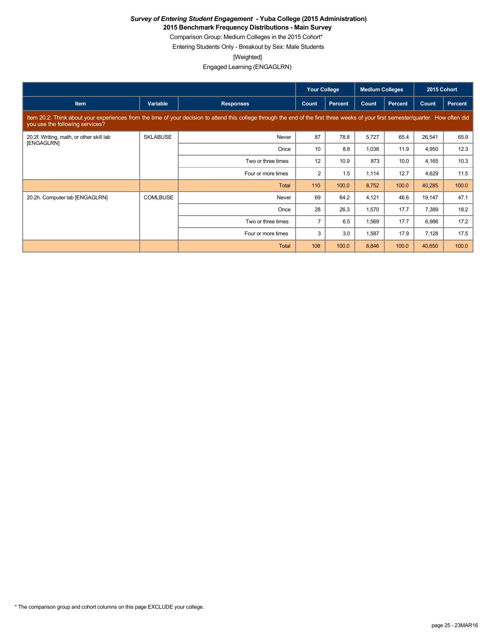**2015 Benchmark Frequency Distributions - Main Survey**

Comparison Group: Medium Colleges in the 2015 Cohort\* Entering Students Only - Breakout by Sex: Male Students

[Weighted]

|                                                        |                 |                                                                                                                                                                                      | <b>Your College</b> |         | <b>Medium Colleges</b> |         | 2015 Cohort |         |
|--------------------------------------------------------|-----------------|--------------------------------------------------------------------------------------------------------------------------------------------------------------------------------------|---------------------|---------|------------------------|---------|-------------|---------|
| Item                                                   | Variable        | <b>Responses</b>                                                                                                                                                                     | Count               | Percent | Count                  | Percent | Count       | Percent |
| you use the following services?                        |                 | Item 20.2: Think about your experiences from the time of your decision to attend this college through the end of the first three weeks of your first semester/quarter. How often did |                     |         |                        |         |             |         |
| 20.2f. Writing, math, or other skill lab<br>[ENGAGLRN] | <b>SKLABUSE</b> | Never                                                                                                                                                                                | 87                  | 78.8    | 5,727                  | 65.4    | 26,541      | 65.9    |
|                                                        |                 | Once                                                                                                                                                                                 | 10                  | 8.8     | 1,038                  | 11.9    | 4,950       | 12.3    |
|                                                        |                 | Two or three times                                                                                                                                                                   | 12                  | 10.9    | 873                    | 10.0    | 4,165       | 10.3    |
|                                                        |                 | Four or more times                                                                                                                                                                   | 2                   | 1.5     | 1,114                  | 12.7    | 4,629       | 11.5    |
|                                                        |                 | Total                                                                                                                                                                                | 110                 | 100.0   | 8,752                  | 100.0   | 40,285      | 100.0   |
| 20.2h. Computer lab [ENGAGLRN]                         | <b>COMLBUSE</b> | Never                                                                                                                                                                                | 69                  | 64.2    | 4,121                  | 46.6    | 19,147      | 47.1    |
|                                                        |                 | Once                                                                                                                                                                                 | 28                  | 26.3    | 1,570                  | 17.7    | 7,389       | 18.2    |
|                                                        |                 | Two or three times                                                                                                                                                                   | $\overline{7}$      | 6.5     | 1,569                  | 17.7    | 6,986       | 17.2    |
|                                                        |                 | Four or more times                                                                                                                                                                   | 3                   | 3.0     | 1,587                  | 17.9    | 7,128       | 17.5    |
|                                                        |                 | Total                                                                                                                                                                                | 108                 | 100.0   | 8,846                  | 100.0   | 40,650      | 100.0   |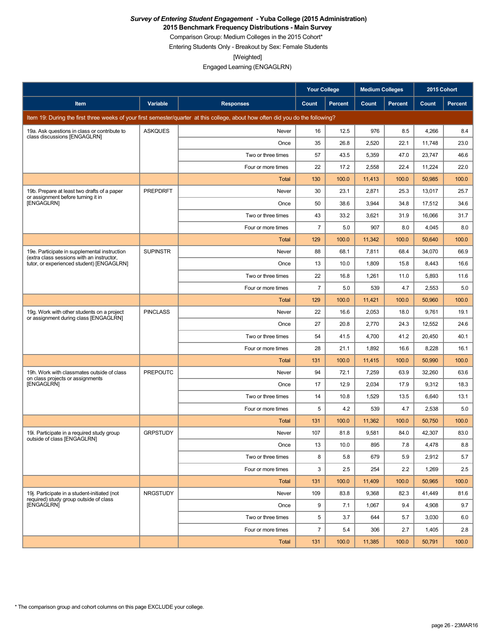**2015 Benchmark Frequency Distributions - Main Survey**

Comparison Group: Medium Colleges in the 2015 Cohort\*

Entering Students Only - Breakout by Sex: Female Students

[Weighted]

|                                                                                           |                 |                                                                                                                                 | <b>Your College</b> |                | <b>Medium Colleges</b> |                | 2015 Cohort |                |
|-------------------------------------------------------------------------------------------|-----------------|---------------------------------------------------------------------------------------------------------------------------------|---------------------|----------------|------------------------|----------------|-------------|----------------|
| Item                                                                                      | Variable        | <b>Responses</b>                                                                                                                | Count               | <b>Percent</b> | Count                  | <b>Percent</b> | Count       | <b>Percent</b> |
|                                                                                           |                 | Item 19: During the first three weeks of your first semester/quarter at this college, about how often did you do the following? |                     |                |                        |                |             |                |
| 19a. Ask questions in class or contribute to                                              | <b>ASKQUES</b>  | Never                                                                                                                           | 16                  | 12.5           | 976                    | 8.5            | 4,266       | 8.4            |
| class discussions [ENGAGLRN]                                                              |                 | Once                                                                                                                            | 35                  | 26.8           | 2,520                  | 22.1           | 11,748      | 23.0           |
|                                                                                           |                 | Two or three times                                                                                                              | 57                  | 43.5           | 5,359                  | 47.0           | 23,747      | 46.6           |
|                                                                                           |                 | Four or more times                                                                                                              | 22                  | 17.2           | 2,558                  | 22.4           | 11,224      | 22.0           |
|                                                                                           |                 | Total                                                                                                                           | 130                 | 100.0          | 11,413                 | 100.0          | 50,985      | 100.0          |
| 19b. Prepare at least two drafts of a paper<br>or assignment before turning it in         | <b>PREPDRFT</b> | Never                                                                                                                           | 30                  | 23.1           | 2,871                  | 25.3           | 13,017      | 25.7           |
| <b>[ENGAGLRN]</b>                                                                         |                 | Once                                                                                                                            | 50                  | 38.6           | 3,944                  | 34.8           | 17,512      | 34.6           |
|                                                                                           |                 | Two or three times                                                                                                              | 43                  | 33.2           | 3,621                  | 31.9           | 16,066      | 31.7           |
|                                                                                           |                 | Four or more times                                                                                                              | $\overline{7}$      | 5.0            | 907                    | 8.0            | 4,045       | 8.0            |
|                                                                                           |                 | Total                                                                                                                           | 129                 | 100.0          | 11,342                 | 100.0          | 50,640      | 100.0          |
| 19e. Participate in supplemental instruction<br>(extra class sessions with an instructor, | <b>SUPINSTR</b> | Never                                                                                                                           | 88                  | 68.1           | 7,811                  | 68.4           | 34,070      | 66.9           |
| tutor, or experienced student) [ENGAGLRN]                                                 |                 | Once                                                                                                                            | 13                  | 10.0           | 1,809                  | 15.8           | 8,443       | 16.6           |
|                                                                                           |                 | Two or three times                                                                                                              | 22                  | 16.8           | 1,261                  | 11.0           | 5,893       | 11.6           |
|                                                                                           |                 | Four or more times                                                                                                              | $\overline{7}$      | 5.0            | 539                    | 4.7            | 2,553       | 5.0            |
|                                                                                           |                 | <b>Total</b>                                                                                                                    | 129                 | 100.0          | 11,421                 | 100.0          | 50,960      | 100.0          |
| 19g. Work with other students on a project<br>or assignment during class [ENGAGLRN]       | <b>PINCLASS</b> | Never                                                                                                                           | 22                  | 16.6           | 2,053                  | 18.0           | 9,761       | 19.1           |
|                                                                                           |                 | Once                                                                                                                            | 27                  | 20.8           | 2,770                  | 24.3           | 12,552      | 24.6           |
|                                                                                           |                 | Two or three times                                                                                                              | 54                  | 41.5           | 4,700                  | 41.2           | 20,450      | 40.1           |
|                                                                                           |                 | Four or more times                                                                                                              | 28                  | 21.1           | 1,892                  | 16.6           | 8,228       | 16.1           |
|                                                                                           |                 | Total                                                                                                                           | 131                 | 100.0          | 11,415                 | 100.0          | 50,990      | 100.0          |
| 19h. Work with classmates outside of class<br>on class projects or assignments            | <b>PREPOUTC</b> | Never                                                                                                                           | 94                  | 72.1           | 7,259                  | 63.9           | 32,260      | 63.6           |
| [ENGAGLRN]                                                                                |                 | Once                                                                                                                            | 17                  | 12.9           | 2,034                  | 17.9           | 9,312       | 18.3           |
|                                                                                           |                 | Two or three times                                                                                                              | 14                  | 10.8           | 1,529                  | 13.5           | 6,640       | 13.1           |
|                                                                                           |                 | Four or more times                                                                                                              | 5                   | 4.2            | 539                    | 4.7            | 2,538       | 5.0            |
|                                                                                           |                 | Total                                                                                                                           | 131                 | 100.0          | 11,362                 | 100.0          | 50,750      | 100.0          |
| 19i. Participate in a required study group<br>outside of class [ENGAGLRN]                 | <b>GRPSTUDY</b> | Never                                                                                                                           | 107                 | 81.8           | 9,581                  | 84.0           | 42,307      | 83.0           |
|                                                                                           |                 | Once                                                                                                                            | 13                  | 10.0           | 895                    | 7.8            | 4,478       | 8.8            |
|                                                                                           |                 | Two or three times                                                                                                              | 8                   | 5.8            | 679                    | 5.9            | 2,912       | 5.7            |
|                                                                                           |                 | Four or more times                                                                                                              | 3                   | 2.5            | 254                    | 2.2            | 1,269       | 2.5            |
|                                                                                           |                 | Total                                                                                                                           | 131                 | 100.0          | 11,409                 | 100.0          | 50,965      | 100.0          |
| 19j. Participate in a student-initiated (not<br>required) study group outside of class    | <b>NRGSTUDY</b> | Never                                                                                                                           | 109                 | 83.8           | 9,368                  | 82.3           | 41,449      | 81.6           |
| <b>IENGAGLRNI</b>                                                                         |                 | Once                                                                                                                            | 9                   | 7.1            | 1,067                  | 9.4            | 4,908       | 9.7            |
|                                                                                           |                 | Two or three times                                                                                                              | 5                   | 3.7            | 644                    | 5.7            | 3,030       | 6.0            |
|                                                                                           |                 | Four or more times                                                                                                              | $\overline{7}$      | 5.4            | 306                    | 2.7            | 1,405       | 2.8            |
|                                                                                           |                 | Total                                                                                                                           | 131                 | 100.0          | 11,385                 | 100.0          | 50,791      | 100.0          |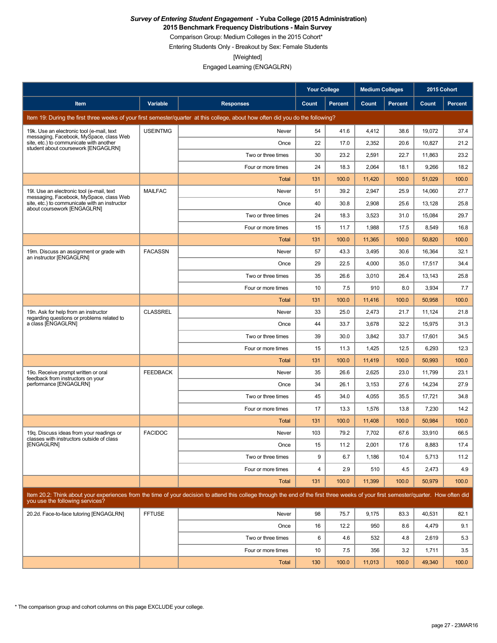**2015 Benchmark Frequency Distributions - Main Survey**

Comparison Group: Medium Colleges in the 2015 Cohort\*

Entering Students Only - Breakout by Sex: Female Students

[Weighted]

|                                                                                       |                 |                                                                                                                                                                                      | <b>Your College</b> |                | <b>Medium Colleges</b> |         | 2015 Cohort |                |
|---------------------------------------------------------------------------------------|-----------------|--------------------------------------------------------------------------------------------------------------------------------------------------------------------------------------|---------------------|----------------|------------------------|---------|-------------|----------------|
| Item                                                                                  | Variable        | <b>Responses</b>                                                                                                                                                                     | Count               | <b>Percent</b> | Count                  | Percent | Count       | <b>Percent</b> |
|                                                                                       |                 | Item 19: During the first three weeks of your first semester/quarter at this college, about how often did you do the following?                                                      |                     |                |                        |         |             |                |
| 19k. Use an electronic tool (e-mail, text                                             | <b>USEINTMG</b> | Never                                                                                                                                                                                | 54                  | 41.6           | 4,412                  | 38.6    | 19,072      | 37.4           |
| messaging, Facebook, MySpace, class Web<br>site, etc.) to communicate with another    |                 | Once                                                                                                                                                                                 | 22                  | 17.0           | 2,352                  | 20.6    | 10,827      | 21.2           |
| student about coursework [ENGAGLRN]                                                   |                 | Two or three times                                                                                                                                                                   | 30                  | 23.2           | 2,591                  | 22.7    | 11,863      | 23.2           |
|                                                                                       |                 | Four or more times                                                                                                                                                                   | 24                  | 18.3           | 2,064                  | 18.1    | 9,266       | 18.2           |
|                                                                                       |                 | Total                                                                                                                                                                                | 131                 | 100.0          | 11,420                 | 100.0   | 51,029      | 100.0          |
| 19I. Use an electronic tool (e-mail, text<br>messaging, Facebook, MySpace, class Web  | <b>MAILFAC</b>  | Never                                                                                                                                                                                | 51                  | 39.2           | 2,947                  | 25.9    | 14,060      | 27.7           |
| site, etc.) to communicate with an instructor<br>about coursework [ENGAGLRN]          |                 | Once                                                                                                                                                                                 | 40                  | 30.8           | 2,908                  | 25.6    | 13,128      | 25.8           |
|                                                                                       |                 | Two or three times                                                                                                                                                                   | 24                  | 18.3           | 3,523                  | 31.0    | 15,084      | 29.7           |
|                                                                                       |                 | Four or more times                                                                                                                                                                   | 15                  | 11.7           | 1,988                  | 17.5    | 8,549       | 16.8           |
|                                                                                       |                 | Total                                                                                                                                                                                | 131                 | 100.0          | 11,365                 | 100.0   | 50,820      | 100.0          |
| 19m. Discuss an assignment or grade with<br>an instructor [ENGAGLRN]                  | <b>FACASSN</b>  | Never                                                                                                                                                                                | 57                  | 43.3           | 3,495                  | 30.6    | 16,364      | 32.1           |
|                                                                                       |                 | Once                                                                                                                                                                                 | 29                  | 22.5           | 4,000                  | 35.0    | 17,517      | 34.4           |
|                                                                                       |                 | Two or three times                                                                                                                                                                   | 35                  | 26.6           | 3,010                  | 26.4    | 13,143      | 25.8           |
|                                                                                       |                 | Four or more times                                                                                                                                                                   | 10                  | 7.5            | 910                    | 8.0     | 3,934       | 7.7            |
|                                                                                       |                 | <b>Total</b>                                                                                                                                                                         | 131                 | 100.0          | 11,416                 | 100.0   | 50,958      | 100.0          |
| 19n. Ask for help from an instructor                                                  | <b>CLASSREL</b> | Never                                                                                                                                                                                | 33                  | 25.0           | 2,473                  | 21.7    | 11.124      | 21.8           |
| regarding questions or problems related to<br>a class [ENGAGLRN]                      |                 | Once                                                                                                                                                                                 | 44                  | 33.7           | 3,678                  | 32.2    | 15,975      | 31.3           |
|                                                                                       |                 | Two or three times                                                                                                                                                                   | 39                  | 30.0           | 3,842                  | 33.7    | 17,601      | 34.5           |
|                                                                                       |                 | Four or more times                                                                                                                                                                   | 15                  | 11.3           | 1,425                  | 12.5    | 6,293       | 12.3           |
|                                                                                       |                 | Total                                                                                                                                                                                | 131                 | 100.0          | 11,419                 | 100.0   | 50,993      | 100.0          |
| 19o. Receive prompt written or oral<br>feedback from instructors on your              | <b>FEEDBACK</b> | Never                                                                                                                                                                                | 35                  | 26.6           | 2,625                  | 23.0    | 11,799      | 23.1           |
| performance [ENGAGLRN]                                                                |                 | Once                                                                                                                                                                                 | 34                  | 26.1           | 3,153                  | 27.6    | 14,234      | 27.9           |
|                                                                                       |                 | Two or three times                                                                                                                                                                   | 45                  | 34.0           | 4,055                  | 35.5    | 17,721      | 34.8           |
|                                                                                       |                 | Four or more times                                                                                                                                                                   | 17                  | 13.3           | 1,576                  | 13.8    | 7,230       | 14.2           |
|                                                                                       |                 | Total                                                                                                                                                                                | 131                 | 100.0          | 11,408                 | 100.0   | 50,984      | 100.0          |
| 19g. Discuss ideas from your readings or<br>classes with instructors outside of class | <b>FACIDOC</b>  | Never                                                                                                                                                                                | 103                 | 79.2           | 7,702                  | 67.6    | 33.910      | 66.5           |
| [ENGAGLRN]                                                                            |                 | Once                                                                                                                                                                                 | 15                  | 11.2           | 2,001                  | 17.6    | 8.883       | 17.4           |
|                                                                                       |                 | Two or three times                                                                                                                                                                   | 9                   | 6.7            | 1,186                  | 10.4    | 5,713       | 11.2           |
|                                                                                       |                 | Four or more times                                                                                                                                                                   | 4                   | 2.9            | 510                    | 4.5     | 2,473       | 4.9            |
|                                                                                       |                 | Total                                                                                                                                                                                | 131                 | 100.0          | 11,399                 | 100.0   | 50,979      | 100.0          |
| you use the following services?                                                       |                 | Item 20.2: Think about your experiences from the time of your decision to attend this college through the end of the first three weeks of your first semester/quarter. How often did |                     |                |                        |         |             |                |
| 20.2d. Face-to-face tutoring [ENGAGLRN]                                               | <b>FFTUSE</b>   | Never                                                                                                                                                                                | 98                  | 75.7           | 9,175                  | 83.3    | 40,531      | 82.1           |
|                                                                                       |                 | Once                                                                                                                                                                                 | 16                  | 12.2           | 950                    | 8.6     | 4,479       | 9.1            |
|                                                                                       |                 | Two or three times                                                                                                                                                                   | 6                   | 4.6            | 532                    | 4.8     | 2,619       | 5.3            |
|                                                                                       |                 | Four or more times                                                                                                                                                                   | 10                  | 7.5            | 356                    | 3.2     | 1,711       | 3.5            |
|                                                                                       |                 | Total                                                                                                                                                                                | 130                 | 100.0          | 11,013                 | 100.0   | 49,340      | 100.0          |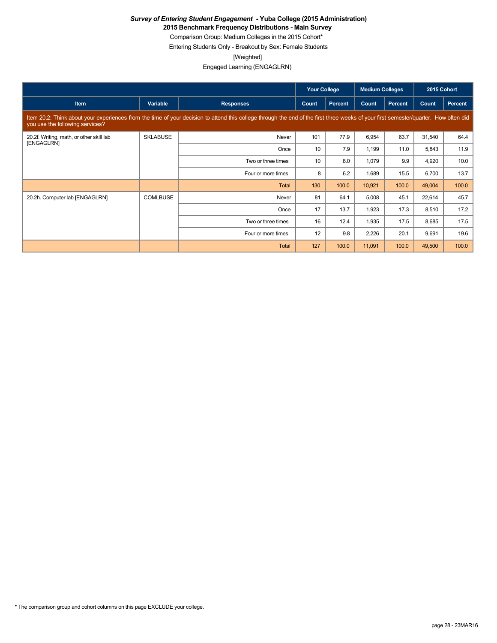**2015 Benchmark Frequency Distributions - Main Survey**

Comparison Group: Medium Colleges in the 2015 Cohort\*

Entering Students Only - Breakout by Sex: Female Students

[Weighted]

|                                                        |                 |                                                                                                                                                                                      | <b>Your College</b> |         | <b>Medium Colleges</b> |         | 2015 Cohort |         |
|--------------------------------------------------------|-----------------|--------------------------------------------------------------------------------------------------------------------------------------------------------------------------------------|---------------------|---------|------------------------|---------|-------------|---------|
| Item                                                   | Variable        | <b>Responses</b>                                                                                                                                                                     | Count               | Percent | Count                  | Percent | Count       | Percent |
| you use the following services?                        |                 | Item 20.2: Think about your experiences from the time of your decision to attend this college through the end of the first three weeks of your first semester/quarter. How often did |                     |         |                        |         |             |         |
| 20.2f. Writing, math, or other skill lab<br>[ENGAGLRN] | <b>SKLABUSE</b> | Never                                                                                                                                                                                | 101                 | 77.9    | 6,954                  | 63.7    | 31,540      | 64.4    |
|                                                        |                 | Once                                                                                                                                                                                 | 10                  | 7.9     | 1,199                  | 11.0    | 5,843       | 11.9    |
|                                                        |                 | Two or three times                                                                                                                                                                   | 10                  | 8.0     | 1,079                  | 9.9     | 4,920       | 10.0    |
|                                                        |                 | Four or more times                                                                                                                                                                   | 8                   | 6.2     | 1,689                  | 15.5    | 6,700       | 13.7    |
|                                                        |                 | Total                                                                                                                                                                                | 130                 | 100.0   | 10,921                 | 100.0   | 49,004      | 100.0   |
| 20.2h. Computer lab [ENGAGLRN]                         | <b>COMLBUSE</b> | Never                                                                                                                                                                                | 81                  | 64.1    | 5,008                  | 45.1    | 22,614      | 45.7    |
|                                                        |                 | Once                                                                                                                                                                                 | 17                  | 13.7    | 1,923                  | 17.3    | 8,510       | 17.2    |
|                                                        |                 | Two or three times                                                                                                                                                                   | 16                  | 12.4    | 1,935                  | 17.5    | 8,685       | 17.5    |
|                                                        |                 | Four or more times                                                                                                                                                                   | 12                  | 9.8     | 2,226                  | 20.1    | 9,691       | 19.6    |
|                                                        |                 | Total                                                                                                                                                                                | 127                 | 100.0   | 11,091                 | 100.0   | 49,500      | 100.0   |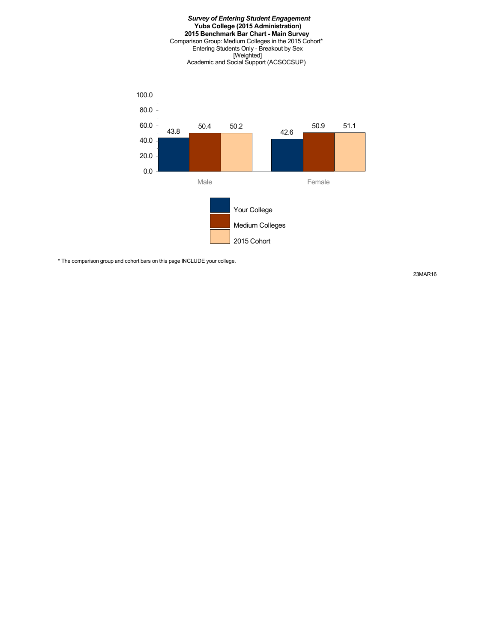#### *Survey of Entering Student Engagement* **Yuba College (2015 Administration) 2015 Benchmark Bar Chart - Main Survey** Comparison Group: Medium Colleges in the 2015 Cohort\* Entering Students Only - Breakout by Sex [Weighted] Academic and Social Support (ACSOCSUP)



\* The comparison group and cohort bars on this page INCLUDE your college.

23MAR16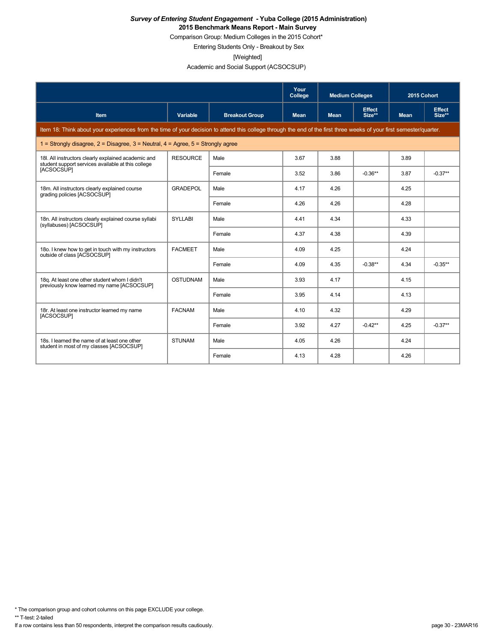Comparison Group: Medium Colleges in the 2015 Cohort\*

Entering Students Only - Breakout by Sex

[Weighted]

Academic and Social Support (ACSOCSUP)

|                                                                                                                                                                      |                 |                       | Your<br>College | <b>Medium Colleges</b> |                         | 2015 Cohort |                         |
|----------------------------------------------------------------------------------------------------------------------------------------------------------------------|-----------------|-----------------------|-----------------|------------------------|-------------------------|-------------|-------------------------|
| Item                                                                                                                                                                 | Variable        | <b>Breakout Group</b> | <b>Mean</b>     | <b>Mean</b>            | <b>Effect</b><br>Size** | <b>Mean</b> | <b>Effect</b><br>Size** |
| Item 18: Think about your experiences from the time of your decision to attend this college through the end of the first three weeks of your first semester/quarter. |                 |                       |                 |                        |                         |             |                         |
| 1 = Strongly disagree, $2$ = Disagree, $3$ = Neutral, $4$ = Agree, $5$ = Strongly agree                                                                              |                 |                       |                 |                        |                         |             |                         |
| 18I. All instructors clearly explained academic and<br>student support services available at this college                                                            | <b>RESOURCE</b> | Male                  | 3.67            | 3.88                   |                         | 3.89        |                         |
| [ACSOCSUP]                                                                                                                                                           |                 | Female                | 3.52            | 3.86                   | $-0.36**$               | 3.87        | $-0.37**$               |
| 18m. All instructors clearly explained course<br>grading policies [ACSOCSUP]                                                                                         | <b>GRADEPOL</b> | Male                  | 4.17            | 4.26                   |                         | 4.25        |                         |
|                                                                                                                                                                      |                 | Female                | 4.26            | 4.26                   |                         | 4.28        |                         |
| 18n. All instructors clearly explained course syllabi<br>(syllabuses) [ACSOCSUP]                                                                                     | <b>SYLLABI</b>  | Male                  | 4.41            | 4.34                   |                         | 4.33        |                         |
|                                                                                                                                                                      |                 | Female                | 4.37            | 4.38                   |                         | 4.39        |                         |
| 180. I knew how to get in touch with my instructors<br>outside of class [ACSOCSUP]                                                                                   | <b>FACMEET</b>  | Male                  | 4.09            | 4.25                   |                         | 4.24        |                         |
|                                                                                                                                                                      |                 | Female                | 4.09            | 4.35                   | $-0.38**$               | 4.34        | $-0.35**$               |
| 18g. At least one other student whom I didn't<br>previously know learned my name [ACSOCSUP]                                                                          | <b>OSTUDNAM</b> | Male                  | 3.93            | 4.17                   |                         | 4.15        |                         |
|                                                                                                                                                                      |                 | Female                | 3.95            | 4.14                   |                         | 4.13        |                         |
| 18r. At least one instructor learned my name<br>[ACSOCSUP]                                                                                                           | <b>FACNAM</b>   | Male                  | 4.10            | 4.32                   |                         | 4.29        |                         |
|                                                                                                                                                                      |                 | Female                | 3.92            | 4.27                   | $-0.42**$               | 4.25        | $-0.37**$               |
| 18s. I learned the name of at least one other<br>student in most of my classes [ACSOCSUP]                                                                            | <b>STUNAM</b>   | Male                  | 4.05            | 4.26                   |                         | 4.24        |                         |
|                                                                                                                                                                      |                 | Female                | 4.13            | 4.28                   |                         | 4.26        |                         |

\* The comparison group and cohort columns on this page EXCLUDE your college.

\*\* T-test: 2-tailed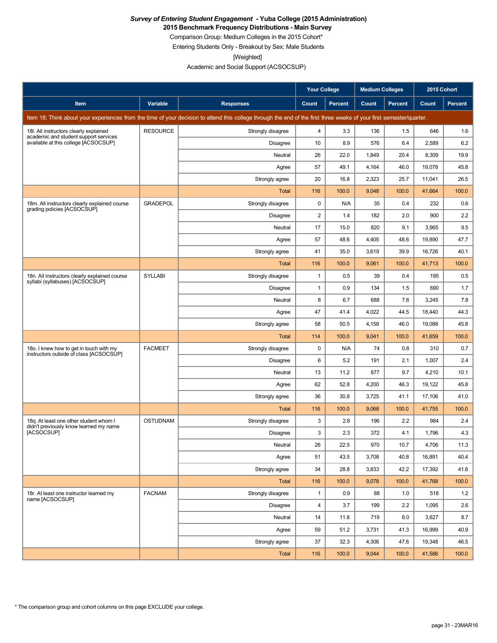**2015 Benchmark Frequency Distributions - Main Survey**

Comparison Group: Medium Colleges in the 2015 Cohort\*

Entering Students Only - Breakout by Sex: Male Students

[Weighted]

Academic and Social Support (ACSOCSUP)

|                                                                                                                                                                      |                 |                   | <b>Your College</b> |                | <b>Medium Colleges</b> |         | 2015 Cohort |                |
|----------------------------------------------------------------------------------------------------------------------------------------------------------------------|-----------------|-------------------|---------------------|----------------|------------------------|---------|-------------|----------------|
| Item                                                                                                                                                                 | Variable        | <b>Responses</b>  | Count               | <b>Percent</b> | Count                  | Percent | Count       | <b>Percent</b> |
| Item 18: Think about your experiences from the time of your decision to attend this college through the end of the first three weeks of your first semester/quarter. |                 |                   |                     |                |                        |         |             |                |
| 18I. All instructors clearly explained                                                                                                                               | <b>RESOURCE</b> | Strongly disagree | 4                   | 3.3            | 136                    | 1.5     | 646         | 1.6            |
| academic and student support services<br>available at this college [ACSOCSUP]                                                                                        |                 | <b>Disagree</b>   | 10                  | 8.9            | 576                    | 6.4     | 2,589       | 6.2            |
|                                                                                                                                                                      |                 | Neutral           | 26                  | 22.0           | 1,849                  | 20.4    | 8,309       | 19.9           |
|                                                                                                                                                                      |                 | Agree             | 57                  | 49.1           | 4,164                  | 46.0    | 19,078      | 45.8           |
|                                                                                                                                                                      |                 | Strongly agree    | 20                  | 16.8           | 2,323                  | 25.7    | 11,041      | 26.5           |
|                                                                                                                                                                      |                 | Total             | 116                 | 100.0          | 9,048                  | 100.0   | 41,664      | 100.0          |
| 18m. All instructors clearly explained course<br>grading policies [ACSOCSUP]                                                                                         | <b>GRADEPOL</b> | Strongly disagree | $\mathbf 0$         | N/A            | 35                     | 0.4     | 232         | 0.6            |
|                                                                                                                                                                      |                 | <b>Disagree</b>   | 2                   | 1.4            | 182                    | 2.0     | 900         | 2.2            |
|                                                                                                                                                                      |                 | Neutral           | 17                  | 15.0           | 820                    | 9.1     | 3,965       | 9.5            |
|                                                                                                                                                                      |                 | Agree             | 57                  | 48.6           | 4,405                  | 48.6    | 19,890      | 47.7           |
|                                                                                                                                                                      |                 | Strongly agree    | 41                  | 35.0           | 3,619                  | 39.9    | 16,726      | 40.1           |
|                                                                                                                                                                      |                 | Total             | 116                 | 100.0          | 9,061                  | 100.0   | 41,713      | 100.0          |
| 18n. All instructors clearly explained course<br>syllabi (syllabuses) [ACSOCSUP]                                                                                     | <b>SYLLABI</b>  | Strongly disagree | $\mathbf{1}$        | 0.5            | 39                     | 0.4     | 195         | 0.5            |
|                                                                                                                                                                      |                 | Disagree          | $\mathbf{1}$        | 0.9            | 134                    | 1.5     | 690         | 1.7            |
|                                                                                                                                                                      |                 | Neutral           | 8                   | 6.7            | 688                    | 7.6     | 3,245       | 7.8            |
|                                                                                                                                                                      |                 | Agree             | 47                  | 41.4           | 4,022                  | 44.5    | 18,440      | 44.3           |
|                                                                                                                                                                      |                 | Strongly agree    | 58                  | 50.5           | 4,158                  | 46.0    | 19,088      | 45.8           |
|                                                                                                                                                                      |                 | <b>Total</b>      | 114                 | 100.0          | 9,041                  | 100.0   | 41,659      | 100.0          |
| 18o. I knew how to get in touch with my<br>instructors outside of class [ACSOCSUP]                                                                                   | <b>FACMEET</b>  | Strongly disagree | $\mathbf 0$         | N/A            | 74                     | 0.8     | 310         | 0.7            |
|                                                                                                                                                                      |                 | Disagree          | 6                   | 5.2            | 191                    | 2.1     | 1,007       | 2.4            |
|                                                                                                                                                                      |                 | Neutral           | 13                  | 11.2           | 877                    | 9.7     | 4,210       | 10.1           |
|                                                                                                                                                                      |                 | Agree             | 62                  | 52.8           | 4,200                  | 46.3    | 19,122      | 45.8           |
|                                                                                                                                                                      |                 | Strongly agree    | 36                  | 30.8           | 3,725                  | 41.1    | 17,106      | 41.0           |
|                                                                                                                                                                      |                 | Total             | 116                 | 100.0          | 9,068                  | 100.0   | 41,755      | 100.0          |
| 18q. At least one other student whom I<br>didn't previously know learned my name                                                                                     | <b>OSTUDNAM</b> | Strongly disagree | 3                   | 2.8            | 196                    | 2.2     | 984         | 2.4            |
| [ACSOCSUP]                                                                                                                                                           |                 | <b>Disagree</b>   | 3                   | 2.3            | 372                    | 4.1     | 1,796       | 4.3            |
|                                                                                                                                                                      |                 | Neutral           | 26                  | 22.5           | 970                    | 10.7    | 4,706       | 11.3           |
|                                                                                                                                                                      |                 | Agree             | 51                  | 43.5           | 3,708                  | 40.8    | 16,891      | 40.4           |
|                                                                                                                                                                      |                 | Strongly agree    | 34                  | 28.8           | 3,833                  | 42.2    | 17,392      | 41.6           |
|                                                                                                                                                                      |                 | Total             | 116                 | 100.0          | 9,078                  | 100.0   | 41,768      | 100.0          |
| 18r. At least one instructor learned my<br>name [ACSOCSUP]                                                                                                           | <b>FACNAM</b>   | Strongly disagree | $\mathbf{1}$        | 0.9            | 88                     | 1.0     | 518         | 1.2            |
|                                                                                                                                                                      |                 | Disagree          | $\overline{4}$      | 3.7            | 199                    | 2.2     | 1,095       | 2.6            |
|                                                                                                                                                                      |                 | Neutral           | 14                  | 11.8           | 719                    | 8.0     | 3,627       | 8.7            |
|                                                                                                                                                                      |                 | Agree             | 59                  | 51.2           | 3,731                  | 41.3    | 16,999      | 40.9           |
|                                                                                                                                                                      |                 | Strongly agree    | 37                  | 32.3           | 4,306                  | 47.6    | 19,348      | 46.5           |
|                                                                                                                                                                      |                 | Total             | 116                 | 100.0          | 9,044                  | 100.0   | 41,586      | 100.0          |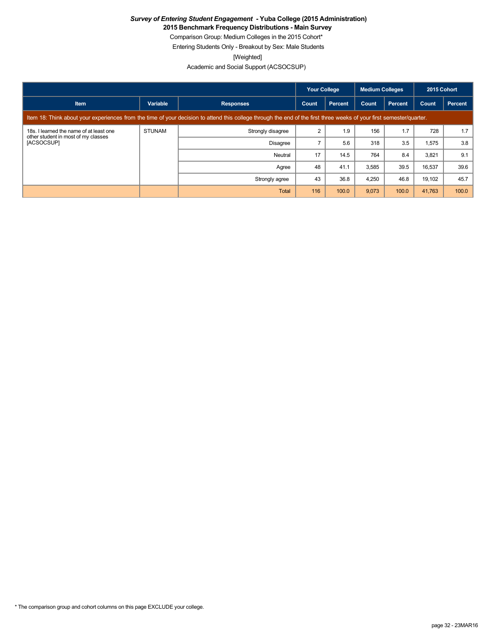**2015 Benchmark Frequency Distributions - Main Survey**

Comparison Group: Medium Colleges in the 2015 Cohort\*

Entering Students Only - Breakout by Sex: Male Students

[Weighted]

Academic and Social Support (ACSOCSUP)

|                                                                                                                                                                      |               |                   | <b>Your College</b> |                | <b>Medium Colleges</b> |                | 2015 Cohort |         |
|----------------------------------------------------------------------------------------------------------------------------------------------------------------------|---------------|-------------------|---------------------|----------------|------------------------|----------------|-------------|---------|
| <b>Item</b>                                                                                                                                                          | Variable      | <b>Responses</b>  | Count               | <b>Percent</b> | Count                  | <b>Percent</b> | Count       | Percent |
| Item 18: Think about your experiences from the time of your decision to attend this college through the end of the first three weeks of your first semester/quarter. |               |                   |                     |                |                        |                |             |         |
| 18s. I learned the name of at least one<br>other student in most of my classes<br>[ACSOCSUP]                                                                         | <b>STUNAM</b> | Strongly disagree |                     | 1.9            | 156                    | 1.7            | 728         | 1.7     |
|                                                                                                                                                                      |               | <b>Disagree</b>   |                     | 5.6            | 318                    | 3.5            | 1,575       | 3.8     |
|                                                                                                                                                                      |               | Neutral           | 17                  | 14.5           | 764                    | 8.4            | 3,821       | 9.1     |
|                                                                                                                                                                      |               | Agree             | 48                  | 41.1           | 3,585                  | 39.5           | 16,537      | 39.6    |
|                                                                                                                                                                      |               | Strongly agree    | 43                  | 36.8           | 4,250                  | 46.8           | 19,102      | 45.7    |
|                                                                                                                                                                      |               | Total             | 116                 | 100.0          | 9,073                  | 100.0          | 41,763      | 100.0   |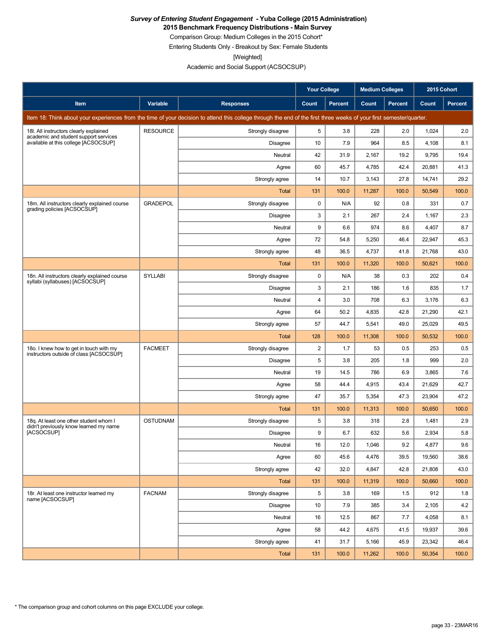**2015 Benchmark Frequency Distributions - Main Survey**

Comparison Group: Medium Colleges in the 2015 Cohort\*

Entering Students Only - Breakout by Sex: Female Students

[Weighted]

Academic and Social Support (ACSOCSUP)

|                                                                                                                                                                      |                 |                   | <b>Your College</b><br><b>Medium Colleges</b> |                | 2015 Cohort |         |        |                |
|----------------------------------------------------------------------------------------------------------------------------------------------------------------------|-----------------|-------------------|-----------------------------------------------|----------------|-------------|---------|--------|----------------|
| Item                                                                                                                                                                 | Variable        | <b>Responses</b>  | Count                                         | <b>Percent</b> | Count       | Percent | Count  | <b>Percent</b> |
| Item 18: Think about your experiences from the time of your decision to attend this college through the end of the first three weeks of your first semester/quarter. |                 |                   |                                               |                |             |         |        |                |
| 18I. All instructors clearly explained                                                                                                                               | <b>RESOURCE</b> | Strongly disagree | 5                                             | 3.8            | 228         | 2.0     | 1,024  | 2.0            |
| academic and student support services<br>available at this college [ACSOCSUP]                                                                                        |                 | <b>Disagree</b>   | 10                                            | 7.9            | 964         | 8.5     | 4,108  | 8.1            |
|                                                                                                                                                                      |                 | Neutral           | 42                                            | 31.9           | 2,167       | 19.2    | 9,795  | 19.4           |
|                                                                                                                                                                      |                 | Agree             | 60                                            | 45.7           | 4,785       | 42.4    | 20,881 | 41.3           |
|                                                                                                                                                                      |                 | Strongly agree    | 14                                            | 10.7           | 3,143       | 27.8    | 14,741 | 29.2           |
|                                                                                                                                                                      |                 | <b>Total</b>      | 131                                           | 100.0          | 11,287      | 100.0   | 50,549 | 100.0          |
| 18m. All instructors clearly explained course<br>grading policies [ACSOCSUP]                                                                                         | <b>GRADEPOL</b> | Strongly disagree | 0                                             | N/A            | 92          | 0.8     | 331    | 0.7            |
|                                                                                                                                                                      |                 | <b>Disagree</b>   | 3                                             | 2.1            | 267         | 2.4     | 1,167  | 2.3            |
|                                                                                                                                                                      |                 | Neutral           | 9                                             | 6.6            | 974         | 8.6     | 4,407  | 8.7            |
|                                                                                                                                                                      |                 | Agree             | 72                                            | 54.8           | 5,250       | 46.4    | 22,947 | 45.3           |
|                                                                                                                                                                      |                 | Strongly agree    | 48                                            | 36.5           | 4,737       | 41.8    | 21,768 | 43.0           |
|                                                                                                                                                                      |                 | Total             | 131                                           | 100.0          | 11,320      | 100.0   | 50,621 | 100.0          |
| 18n. All instructors clearly explained course<br>syllabi (syllabuses) [ACSOCSUP]                                                                                     | <b>SYLLABI</b>  | Strongly disagree | 0                                             | N/A            | 38          | 0.3     | 202    | 0.4            |
|                                                                                                                                                                      |                 | <b>Disagree</b>   | 3                                             | 2.1            | 186         | 1.6     | 835    | 1.7            |
|                                                                                                                                                                      |                 | Neutral           | $\overline{4}$                                | 3.0            | 708         | 6.3     | 3,176  | 6.3            |
|                                                                                                                                                                      |                 | Agree             | 64                                            | 50.2           | 4,835       | 42.8    | 21,290 | 42.1           |
|                                                                                                                                                                      |                 | Strongly agree    | 57                                            | 44.7           | 5,541       | 49.0    | 25,029 | 49.5           |
|                                                                                                                                                                      |                 | Total             | 128                                           | 100.0          | 11,308      | 100.0   | 50,532 | 100.0          |
| 18o. I knew how to get in touch with my<br>instructors outside of class [ACSOCSUP]                                                                                   | <b>FACMEET</b>  | Strongly disagree | $\overline{c}$                                | 1.7            | 53          | 0.5     | 253    | 0.5            |
|                                                                                                                                                                      |                 | Disagree          | 5                                             | 3.8            | 205         | 1.8     | 999    | 2.0            |
|                                                                                                                                                                      |                 | Neutral           | 19                                            | 14.5           | 786         | 6.9     | 3,865  | 7.6            |
|                                                                                                                                                                      |                 | Agree             | 58                                            | 44.4           | 4,915       | 43.4    | 21,629 | 42.7           |
|                                                                                                                                                                      |                 | Strongly agree    | 47                                            | 35.7           | 5,354       | 47.3    | 23,904 | 47.2           |
|                                                                                                                                                                      |                 | Total             | 131                                           | 100.0          | 11,313      | 100.0   | 50,650 | 100.0          |
| 18g. At least one other student whom I<br>didn't previously know learned my name                                                                                     | <b>OSTUDNAM</b> | Strongly disagree | 5                                             | 3.8            | 318         | 2.8     | 1,481  | 2.9            |
| [ACSOCSUP]                                                                                                                                                           |                 | <b>Disagree</b>   | 9                                             | 6.7            | 632         | 5.6     | 2,934  | 5.8            |
|                                                                                                                                                                      |                 | Neutral           | 16                                            | 12.0           | 1,046       | 9.2     | 4,877  | 9.6            |
|                                                                                                                                                                      |                 | Agree             | 60                                            | 45.6           | 4,476       | 39.5    | 19,560 | 38.6           |
|                                                                                                                                                                      |                 | Strongly agree    | 42                                            | 32.0           | 4,847       | 42.8    | 21,808 | 43.0           |
|                                                                                                                                                                      |                 | Total             | 131                                           | 100.0          | 11,319      | 100.0   | 50,660 | 100.0          |
| 18r. At least one instructor learned my<br>name [ACSOCSUP]                                                                                                           | <b>FACNAM</b>   | Strongly disagree | 5                                             | 3.8            | 169         | 1.5     | 912    | 1.8            |
|                                                                                                                                                                      |                 | Disagree          | 10                                            | 7.9            | 385         | 3.4     | 2,105  | 4.2            |
|                                                                                                                                                                      |                 | Neutral           | 16                                            | 12.5           | 867         | 7.7     | 4,058  | 8.1            |
|                                                                                                                                                                      |                 | Agree             | 58                                            | 44.2           | 4,675       | 41.5    | 19,937 | 39.6           |
|                                                                                                                                                                      |                 | Strongly agree    | 41                                            | 31.7           | 5,166       | 45.9    | 23,342 | 46.4           |
|                                                                                                                                                                      |                 | <b>Total</b>      | 131                                           | 100.0          | 11,262      | 100.0   | 50,354 | 100.0          |